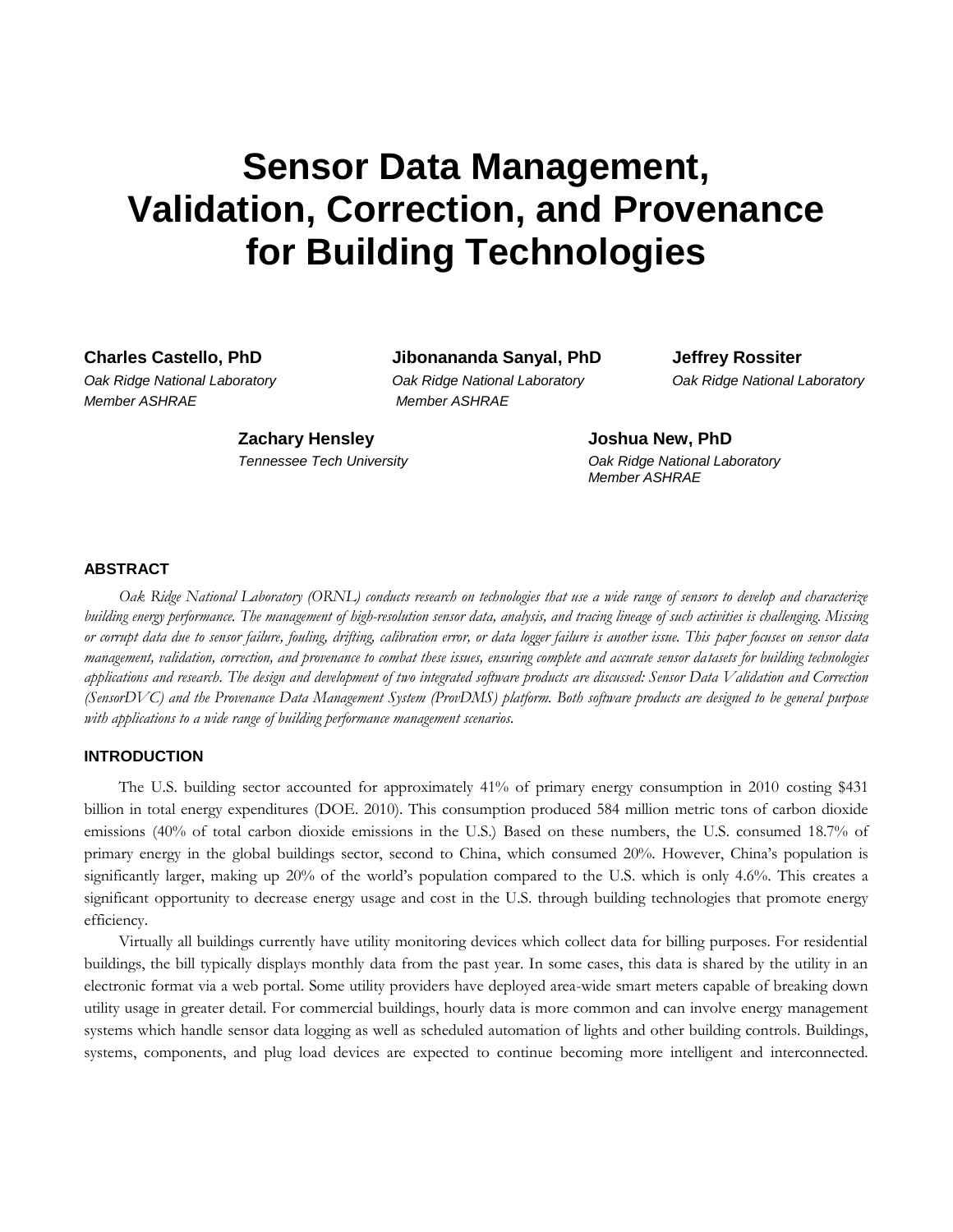# **Sensor Data Management, Validation, Correction, and Provenance for Building Technologies**

*Member ASHRAE Member ASHRAE*

**Charles Castello, PhD Jibonananda Sanyal, PhD Jeffrey Rossiter**

*Oak Ridge National Laboratory Oak Ridge National Laboratory Oak Ridge National Laboratory*

**Zachary Hensley Joshua New, PhD**

*Tennessee Tech University Oak Ridge National Laboratory Member ASHRAE*

# **ABSTRACT**

*Oak Ridge National Laboratory (ORNL) conducts research on technologies that use a wide range of sensors to develop and characterize building energy performance. The management of high-resolution sensor data, analysis, and tracing lineage of such activities is challenging. Missing or corrupt data due to sensor failure, fouling, drifting, calibration error, or data logger failure is another issue. This paper focuses on sensor data management, validation, correction, and provenance to combat these issues, ensuring complete and accurate sensor datasets for building technologies applications and research. The design and development of two integrated software products are discussed: Sensor Data Validation and Correction (SensorDVC) and the Provenance Data Management System (ProvDMS) platform. Both software products are designed to be general purpose with applications to a wide range of building performance management scenarios.*

## **INTRODUCTION**

The U.S. building sector accounted for approximately 41% of primary energy consumption in 2010 costing \$431 billion in total energy expenditures (DOE. 2010). This consumption produced 584 million metric tons of carbon dioxide emissions (40% of total carbon dioxide emissions in the U.S.) Based on these numbers, the U.S. consumed 18.7% of primary energy in the global buildings sector, second to China, which consumed 20%. However, China's population is significantly larger, making up 20% of the world's population compared to the U.S. which is only 4.6%. This creates a significant opportunity to decrease energy usage and cost in the U.S. through building technologies that promote energy efficiency.

Virtually all buildings currently have utility monitoring devices which collect data for billing purposes. For residential buildings, the bill typically displays monthly data from the past year. In some cases, this data is shared by the utility in an electronic format via a web portal. Some utility providers have deployed area-wide smart meters capable of breaking down utility usage in greater detail. For commercial buildings, hourly data is more common and can involve energy management systems which handle sensor data logging as well as scheduled automation of lights and other building controls. Buildings, systems, components, and plug load devices are expected to continue becoming more intelligent and interconnected.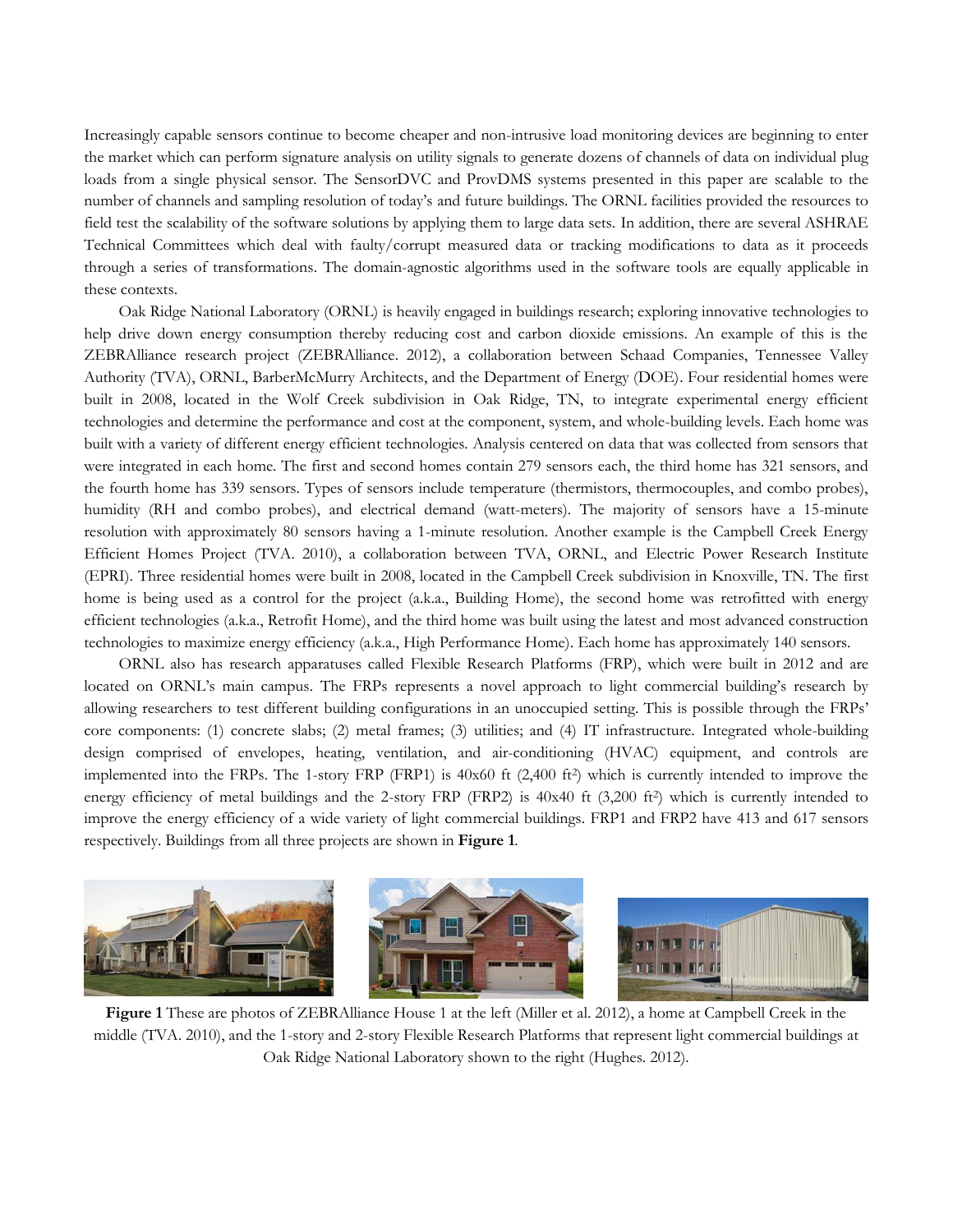Increasingly capable sensors continue to become cheaper and non-intrusive load monitoring devices are beginning to enter the market which can perform signature analysis on utility signals to generate dozens of channels of data on individual plug loads from a single physical sensor. The SensorDVC and ProvDMS systems presented in this paper are scalable to the number of channels and sampling resolution of today's and future buildings. The ORNL facilities provided the resources to field test the scalability of the software solutions by applying them to large data sets. In addition, there are several ASHRAE Technical Committees which deal with faulty/corrupt measured data or tracking modifications to data as it proceeds through a series of transformations. The domain-agnostic algorithms used in the software tools are equally applicable in these contexts.

Oak Ridge National Laboratory (ORNL) is heavily engaged in buildings research; exploring innovative technologies to help drive down energy consumption thereby reducing cost and carbon dioxide emissions. An example of this is the ZEBRAlliance research project (ZEBRAlliance. 2012), a collaboration between Schaad Companies, Tennessee Valley Authority (TVA), ORNL, BarberMcMurry Architects, and the Department of Energy (DOE). Four residential homes were built in 2008, located in the Wolf Creek subdivision in Oak Ridge, TN, to integrate experimental energy efficient technologies and determine the performance and cost at the component, system, and whole-building levels. Each home was built with a variety of different energy efficient technologies. Analysis centered on data that was collected from sensors that were integrated in each home. The first and second homes contain 279 sensors each, the third home has 321 sensors, and the fourth home has 339 sensors. Types of sensors include temperature (thermistors, thermocouples, and combo probes), humidity (RH and combo probes), and electrical demand (watt-meters). The majority of sensors have a 15-minute resolution with approximately 80 sensors having a 1-minute resolution. Another example is the Campbell Creek Energy Efficient Homes Project (TVA. 2010), a collaboration between TVA, ORNL, and Electric Power Research Institute (EPRI). Three residential homes were built in 2008, located in the Campbell Creek subdivision in Knoxville, TN. The first home is being used as a control for the project (a.k.a., Building Home), the second home was retrofitted with energy efficient technologies (a.k.a., Retrofit Home), and the third home was built using the latest and most advanced construction technologies to maximize energy efficiency (a.k.a., High Performance Home). Each home has approximately 140 sensors.

ORNL also has research apparatuses called Flexible Research Platforms (FRP), which were built in 2012 and are located on ORNL's main campus. The FRPs represents a novel approach to light commercial building's research by allowing researchers to test different building configurations in an unoccupied setting. This is possible through the FRPs' core components: (1) concrete slabs; (2) metal frames; (3) utilities; and (4) IT infrastructure. Integrated whole-building design comprised of envelopes, heating, ventilation, and air-conditioning (HVAC) equipment, and controls are implemented into the FRPs. The 1-story FRP (FRP1) is 40x60 ft (2,400 ft<sup>2</sup>) which is currently intended to improve the energy efficiency of metal buildings and the 2-story FRP (FRP2) is  $40x40$  ft  $(3,200$  ft<sup>2</sup>) which is currently intended to improve the energy efficiency of a wide variety of light commercial buildings. FRP1 and FRP2 have 413 and 617 sensors respectively. Buildings from all three projects are shown in **[Figure 1](#page-1-0)**.

<span id="page-1-0"></span>

**Figure 1** These are photos of ZEBRAlliance House 1 at the left (Miller et al. 2012), a home at Campbell Creek in the middle (TVA. 2010), and the 1-story and 2-story Flexible Research Platforms that represent light commercial buildings at Oak Ridge National Laboratory shown to the right (Hughes. 2012).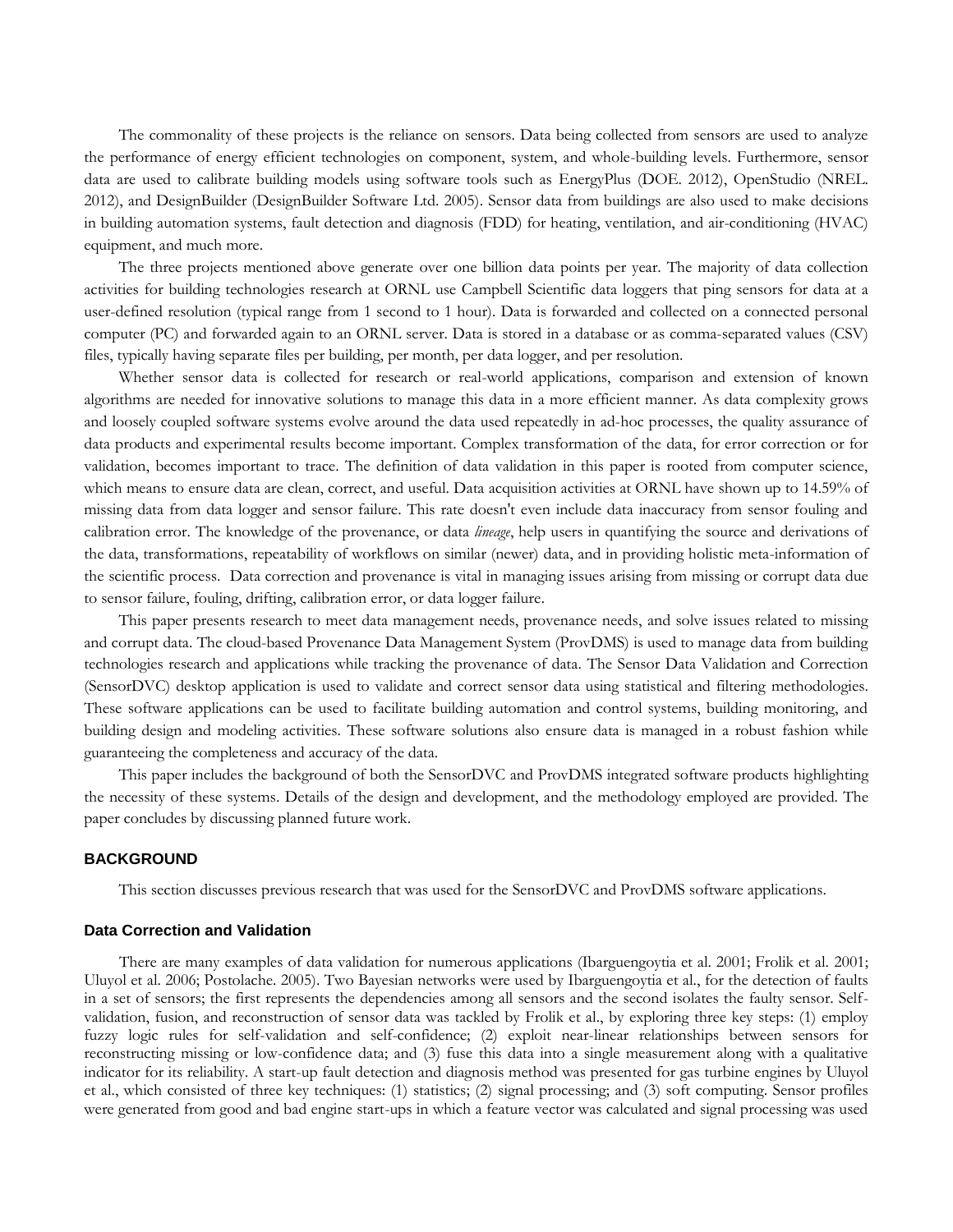The commonality of these projects is the reliance on sensors. Data being collected from sensors are used to analyze the performance of energy efficient technologies on component, system, and whole-building levels. Furthermore, sensor data are used to calibrate building models using software tools such as EnergyPlus (DOE. 2012), OpenStudio (NREL. 2012), and DesignBuilder (DesignBuilder Software Ltd. 2005). Sensor data from buildings are also used to make decisions in building automation systems, fault detection and diagnosis (FDD) for heating, ventilation, and air-conditioning (HVAC) equipment, and much more.

The three projects mentioned above generate over one billion data points per year. The majority of data collection activities for building technologies research at ORNL use Campbell Scientific data loggers that ping sensors for data at a user-defined resolution (typical range from 1 second to 1 hour). Data is forwarded and collected on a connected personal computer (PC) and forwarded again to an ORNL server. Data is stored in a database or as comma-separated values (CSV) files, typically having separate files per building, per month, per data logger, and per resolution.

Whether sensor data is collected for research or real-world applications, comparison and extension of known algorithms are needed for innovative solutions to manage this data in a more efficient manner. As data complexity grows and loosely coupled software systems evolve around the data used repeatedly in ad-hoc processes, the quality assurance of data products and experimental results become important. Complex transformation of the data, for error correction or for validation, becomes important to trace. The definition of data validation in this paper is rooted from computer science, which means to ensure data are clean, correct, and useful. Data acquisition activities at ORNL have shown up to 14.59% of missing data from data logger and sensor failure. This rate doesn't even include data inaccuracy from sensor fouling and calibration error. The knowledge of the provenance, or data *lineage*, help users in quantifying the source and derivations of the data, transformations, repeatability of workflows on similar (newer) data, and in providing holistic meta-information of the scientific process. Data correction and provenance is vital in managing issues arising from missing or corrupt data due to sensor failure, fouling, drifting, calibration error, or data logger failure.

This paper presents research to meet data management needs, provenance needs, and solve issues related to missing and corrupt data. The cloud-based Provenance Data Management System (ProvDMS) is used to manage data from building technologies research and applications while tracking the provenance of data. The Sensor Data Validation and Correction (SensorDVC) desktop application is used to validate and correct sensor data using statistical and filtering methodologies. These software applications can be used to facilitate building automation and control systems, building monitoring, and building design and modeling activities. These software solutions also ensure data is managed in a robust fashion while guaranteeing the completeness and accuracy of the data.

This paper includes the background of both the SensorDVC and ProvDMS integrated software products highlighting the necessity of these systems. Details of the design and development, and the methodology employed are provided. The paper concludes by discussing planned future work.

# **BACKGROUND**

This section discusses previous research that was used for the SensorDVC and ProvDMS software applications.

### **Data Correction and Validation**

There are many examples of data validation for numerous applications (Ibarguengoytia et al. 2001; Frolik et al. 2001; Uluyol et al. 2006; Postolache. 2005). Two Bayesian networks were used by Ibarguengoytia et al., for the detection of faults in a set of sensors; the first represents the dependencies among all sensors and the second isolates the faulty sensor. Selfvalidation, fusion, and reconstruction of sensor data was tackled by Frolik et al., by exploring three key steps: (1) employ fuzzy logic rules for self-validation and self-confidence; (2) exploit near-linear relationships between sensors for reconstructing missing or low-confidence data; and (3) fuse this data into a single measurement along with a qualitative indicator for its reliability. A start-up fault detection and diagnosis method was presented for gas turbine engines by Uluyol et al., which consisted of three key techniques: (1) statistics; (2) signal processing; and (3) soft computing. Sensor profiles were generated from good and bad engine start-ups in which a feature vector was calculated and signal processing was used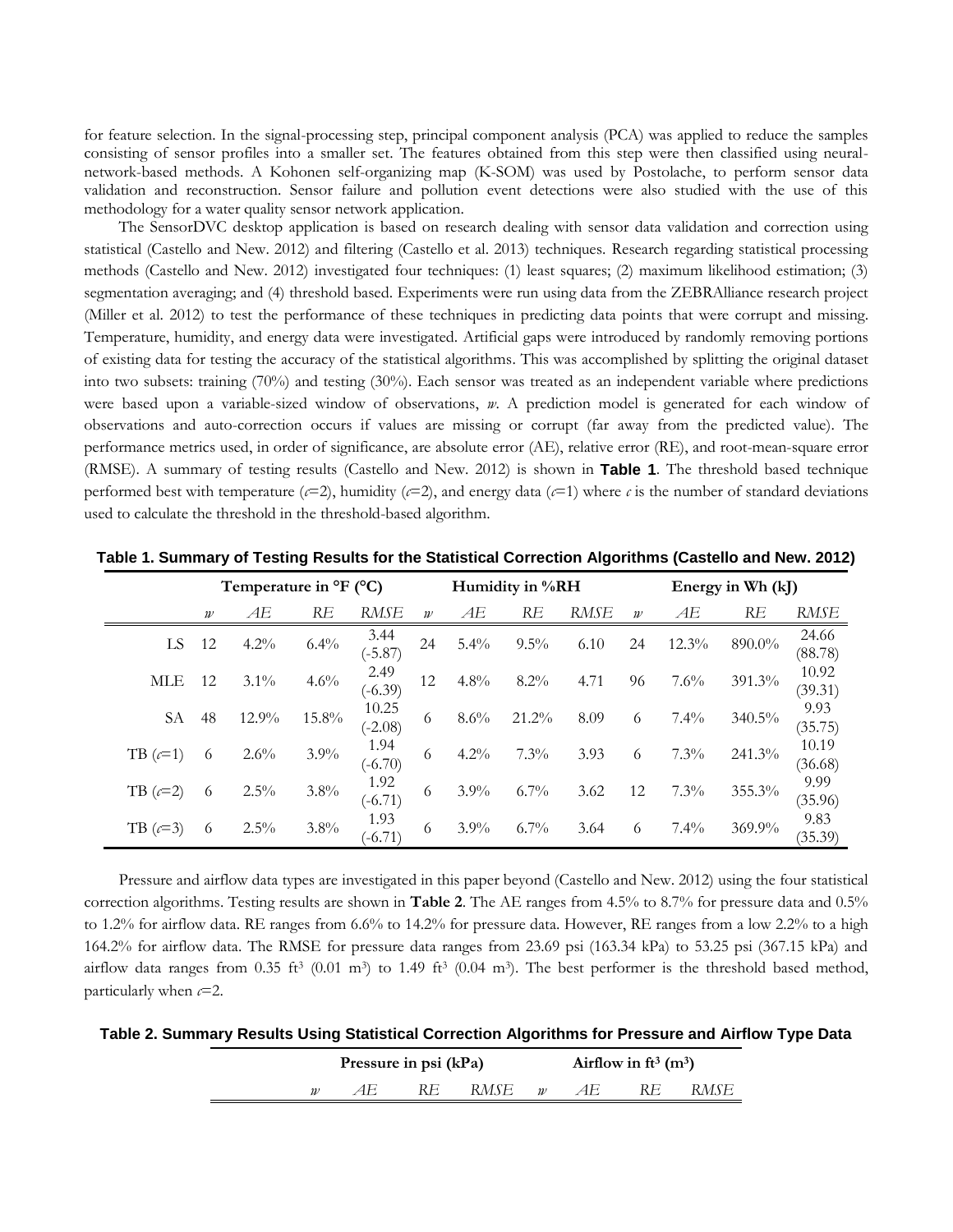for feature selection. In the signal-processing step, principal component analysis (PCA) was applied to reduce the samples consisting of sensor profiles into a smaller set. The features obtained from this step were then classified using neuralnetwork-based methods. A Kohonen self-organizing map (K-SOM) was used by Postolache, to perform sensor data validation and reconstruction. Sensor failure and pollution event detections were also studied with the use of this methodology for a water quality sensor network application.

The SensorDVC desktop application is based on research dealing with sensor data validation and correction using statistical (Castello and New. 2012) and filtering (Castello et al. 2013) techniques. Research regarding statistical processing methods (Castello and New. 2012) investigated four techniques: (1) least squares; (2) maximum likelihood estimation; (3) segmentation averaging; and (4) threshold based. Experiments were run using data from the ZEBRAlliance research project (Miller et al. 2012) to test the performance of these techniques in predicting data points that were corrupt and missing. Temperature, humidity, and energy data were investigated. Artificial gaps were introduced by randomly removing portions of existing data for testing the accuracy of the statistical algorithms. This was accomplished by splitting the original dataset into two subsets: training (70%) and testing (30%). Each sensor was treated as an independent variable where predictions were based upon a variable-sized window of observations, *w*. A prediction model is generated for each window of observations and auto-correction occurs if values are missing or corrupt (far away from the predicted value). The performance metrics used, in order of significance, are absolute error (AE), relative error (RE), and root-mean-square error (RMSE). A summary of testing results (Castello and New. 2012) is shown in **[Table 1](#page-3-0)**. The threshold based technique performed best with temperature ( $\epsilon$ =2), humidity ( $\epsilon$ =2), and energy data ( $\epsilon$ =1) where  $\epsilon$  is the number of standard deviations used to calculate the threshold in the threshold-based algorithm.

|            |                  | Temperature in °F (°C) |         |                    |                  |         | Humidity in %RH |      | Energy in Wh (kJ) |         |        |                  |  |  |
|------------|------------------|------------------------|---------|--------------------|------------------|---------|-----------------|------|-------------------|---------|--------|------------------|--|--|
|            | $\boldsymbol{w}$ | AE                     | RE      | RMSE               | $\boldsymbol{w}$ | АE      | RE              | RMSE | $\boldsymbol{w}$  | АE      | RE     | RMSE             |  |  |
| LS.        | - 12             | $4.2\%$                | 6.4%    | 3.44<br>$(-5.87)$  | 24               | 5.4%    | $9.5\%$         | 6.10 | 24                | 12.3%   | 890.0% | 24.66<br>(88.78) |  |  |
| <b>MLE</b> | 12               | $3.1\%$                | 4.6%    | 2.49<br>$(-6.39)$  | 12               | 4.8%    | $8.2\%$         | 4.71 | 96                | 7.6%    | 391.3% | 10.92<br>(39.31) |  |  |
| SА         | 48               | 12.9%                  | 15.8%   | 10.25<br>$(-2.08)$ | 6                | 8.6%    | 21.2%           | 8.09 | 6                 | 7.4%    | 340.5% | 9.93<br>(35.75)  |  |  |
| TB $(c=1)$ | 6                | $2.6\%$                | $3.9\%$ | 1.94<br>$(-6.70)$  | 6                | $4.2\%$ | $7.3\%$         | 3.93 | 6                 | 7.3%    | 241.3% | 10.19<br>(36.68) |  |  |
| TB $(c=2)$ | 6                | 2.5%                   | 3.8%    | 1.92<br>$(-6.71)$  | 6                | 3.9%    | $6.7\%$         | 3.62 | 12                | 7.3%    | 355.3% | 9.99<br>(35.96)  |  |  |
| TB $(c=3)$ | 6                | $2.5\%$                | $3.8\%$ | 1.93<br>$(-6.71)$  | 6                | $3.9\%$ | $6.7\%$         | 3.64 | 6                 | $7.4\%$ | 369.9% | 9.83<br>(35.39)  |  |  |

<span id="page-3-0"></span>**Table 1. Summary of Testing Results for the Statistical Correction Algorithms (Castello and New. 2012)**

Pressure and airflow data types are investigated in this paper beyond (Castello and New. 2012) using the four statistical correction algorithms. Testing results are shown in **Table 2**. The AE ranges from 4.5% to 8.7% for pressure data and 0.5% to 1.2% for airflow data. RE ranges from 6.6% to 14.2% for pressure data. However, RE ranges from a low 2.2% to a high 164.2% for airflow data. The RMSE for pressure data ranges from 23.69 psi (163.34 kPa) to 53.25 psi (367.15 kPa) and airflow data ranges from 0.35 ft<sup>3</sup> (0.01 m<sup>3</sup>) to 1.49 ft<sup>3</sup> (0.04 m<sup>3</sup>). The best performer is the threshold based method, particularly when *c*=2.

**Table 2. Summary Results Using Statistical Correction Algorithms for Pressure and Airflow Type Data**

|                     | Pressure in psi (kPa) |    |      |                          | Airflow in ft <sup>3</sup> $(m^3)$ |      |
|---------------------|-----------------------|----|------|--------------------------|------------------------------------|------|
| $\boldsymbol{\eta}$ | 4 H                   | RE | RMSE | $\overline{\mathcal{W}}$ |                                    | RMSE |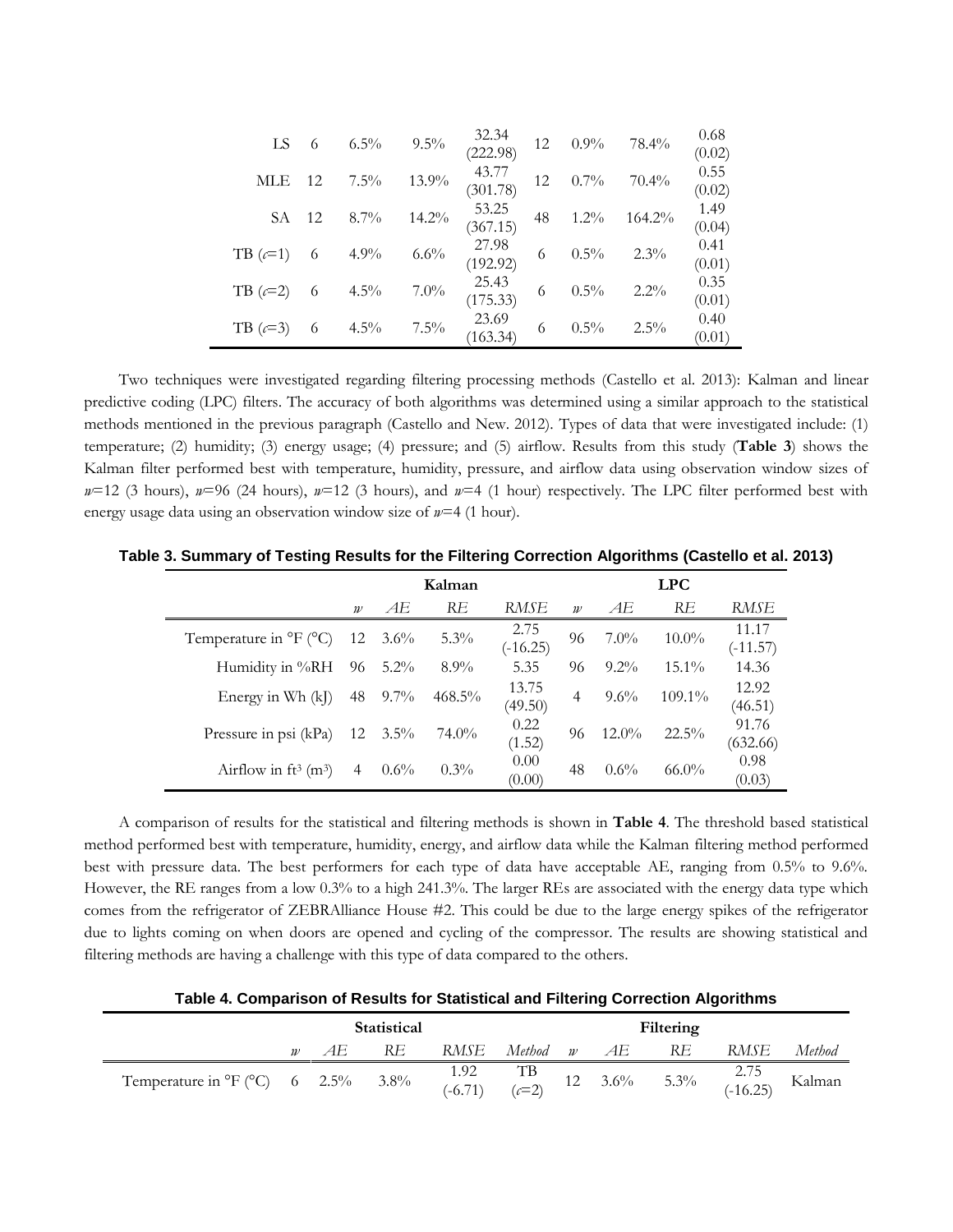| LS             |    | $6.5\%$ | $9.5\%$ | 32.34<br>(222.98) | 12 | $0.9\%$ | 78.4%     | 0.68<br>(0.02) |
|----------------|----|---------|---------|-------------------|----|---------|-----------|----------------|
| MLE            | 12 | $7.5\%$ | 13.9%   | 43.77<br>(301.78) | 12 | $0.7\%$ | $70.4\%$  | 0.55<br>(0.02) |
| SА             | 12 | $8.7\%$ | 14.2%   | 53.25<br>(367.15) | 48 | $1.2\%$ | $164.2\%$ | 1.49<br>(0.04) |
| TB $(c=1)$     | 6  | 4.9%    | 6.6%    | 27.98<br>(192.92) | 6  | $0.5\%$ | $2.3\%$   | 0.41<br>(0.01) |
| $TB$ ( $c=2$ ) | 6  | $4.5\%$ | $7.0\%$ | 25.43<br>(175.33) | 6  | $0.5\%$ | $2.2\%$   | 0.35<br>(0.01) |
| $TB$ ( $c=3$ ) | 6  | $4.5\%$ | $7.5\%$ | 23.69<br>(163.34) | 6  | $0.5\%$ | 2.5%      | 0.40<br>(0.01) |

Two techniques were investigated regarding filtering processing methods (Castello et al. 2013): Kalman and linear predictive coding (LPC) filters. The accuracy of both algorithms was determined using a similar approach to the statistical methods mentioned in the previous paragraph (Castello and New. 2012). Types of data that were investigated include: (1) temperature; (2) humidity; (3) energy usage; (4) pressure; and (5) airflow. Results from this study (**[Table 3](#page-4-0)**) shows the Kalman filter performed best with temperature, humidity, pressure, and airflow data using observation window sizes of *w*=12 (3 hours), *w*=96 (24 hours), *w*=12 (3 hours), and *w*=4 (1 hour) respectively. The LPC filter performed best with energy usage data using an observation window size of *w*=4 (1 hour).

|                                                 |                  |         | Kalman    |                    |                  |          | <b>LPC</b> |                     |
|-------------------------------------------------|------------------|---------|-----------|--------------------|------------------|----------|------------|---------------------|
|                                                 | $\boldsymbol{w}$ | АE      | RE        | RMSE               | $\boldsymbol{w}$ | AE       | RE         | RMSE                |
| Temperature in ${}^{\circ}$ F ( ${}^{\circ}$ C) | 12               | $3.6\%$ | $5.3\%$   | 2.75<br>$(-16.25)$ | 96               | $7.0\%$  | $10.0\%$   | 11.17<br>$(-11.57)$ |
| Humidity in %RH                                 | 96               | $5.2\%$ | $8.9\%$   | 5.35               | 96               | $9.2\%$  | $15.1\%$   | 14.36               |
| Energy in Wh (kJ)                               | 48               | $9.7\%$ | $468.5\%$ | 13.75<br>(49.50)   | $\overline{4}$   | $9.6\%$  | $109.1\%$  | 12.92<br>(46.51)    |
| Pressure in psi (kPa)                           | 12               | $3.5\%$ | 74.0%     | 0.22<br>(1.52)     | 96               | $12.0\%$ | $22.5\%$   | 91.76<br>(632.66)   |
| Airflow in $ft^3$ (m <sup>3</sup> )             | 4                | $0.6\%$ | $0.3\%$   | 0.00<br>(0.00)     | 48               | $0.6\%$  | $66.0\%$   | 0.98<br>(0.03)      |

<span id="page-4-0"></span>**Table 3. Summary of Testing Results for the Filtering Correction Algorithms (Castello et al. 2013)**

A comparison of results for the statistical and filtering methods is shown in **[Table 4](#page-4-1)**. The threshold based statistical method performed best with temperature, humidity, energy, and airflow data while the Kalman filtering method performed best with pressure data. The best performers for each type of data have acceptable AE, ranging from 0.5% to 9.6%. However, the RE ranges from a low 0.3% to a high 241.3%. The larger REs are associated with the energy data type which comes from the refrigerator of ZEBRAlliance House #2. This could be due to the large energy spikes of the refrigerator due to lights coming on when doors are opened and cycling of the compressor. The results are showing statistical and filtering methods are having a challenge with this type of data compared to the others.

**Table 4. Comparison of Results for Statistical and Filtering Correction Algorithms**

<span id="page-4-1"></span>

|                                                       | <b>Statistical</b> |         |                   |         |               | Filtering        |         |                    |        |
|-------------------------------------------------------|--------------------|---------|-------------------|---------|---------------|------------------|---------|--------------------|--------|
|                                                       |                    | RE      | RMSE              | Method  | $\mathcal{W}$ | AE               | RE      | RMSE               | Method |
| Temperature in ${}^{\circ}F$ ( ${}^{\circ}C$ ) 6 2.5% |                    | $3.8\%$ | 1.92<br>$(-6.71)$ | $(c=2)$ |               | $12 \quad 3.6\%$ | $5.3\%$ | $2.75$<br>(-16.25) | Kalman |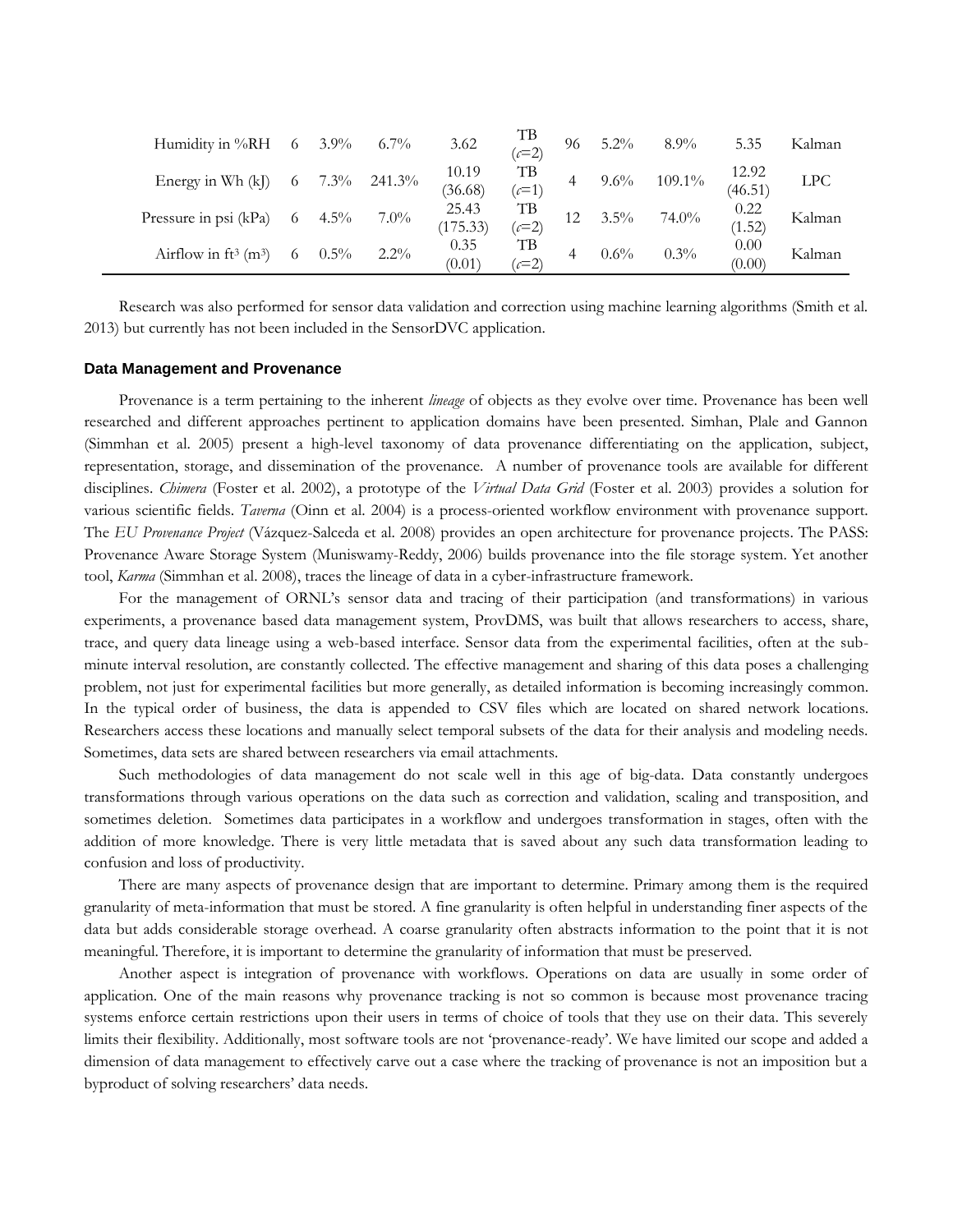| Humidity in $\%RH$ 6 3.9%           |    |         | $6.7\%$ | 3.62              | TВ<br>$(c=2)$    | 96 | $5.2\%$ | $8.9\%$   | 5.35             | Kalman |
|-------------------------------------|----|---------|---------|-------------------|------------------|----|---------|-----------|------------------|--------|
| Energy in Wh $(k)$                  | -6 | $7.3\%$ | 241.3%  | 10.19<br>(36.68)  | TВ<br>$(c=1)$    |    | $9.6\%$ | $109.1\%$ | 12.92<br>(46.51) | LPC    |
| Pressure in psi (kPa)               | 6  | $4.5\%$ | $7.0\%$ | 25.43<br>(175.33) | TВ<br>$\chi$ = 2 |    | $3.5\%$ | 74.0%     | 0.22<br>(1.52)   | Kalman |
| Airflow in $ft^3$ (m <sup>3</sup> ) | 6  | $0.5\%$ | $2.2\%$ | 0.35<br>(0.01)    | TВ<br>$c=2$      |    | $0.6\%$ | $0.3\%$   | 0.00<br>(0.00)   | Kalman |

Research was also performed for sensor data validation and correction using machine learning algorithms (Smith et al. 2013) but currently has not been included in the SensorDVC application.

#### **Data Management and Provenance**

Provenance is a term pertaining to the inherent *lineage* of objects as they evolve over time. Provenance has been well researched and different approaches pertinent to application domains have been presented. Simhan, Plale and Gannon (Simmhan et al. 2005) present a high-level taxonomy of data provenance differentiating on the application, subject, representation, storage, and dissemination of the provenance. A number of provenance tools are available for different disciplines. *Chimera* (Foster et al. 2002), a prototype of the *Virtual Data Grid* (Foster et al. 2003) provides a solution for various scientific fields. *Taverna* (Oinn et al. 2004) is a process-oriented workflow environment with provenance support. The *EU Provenance Project* (Vázquez-Salceda et al. 2008) provides an open architecture for provenance projects. The PASS: Provenance Aware Storage System (Muniswamy-Reddy, 2006) builds provenance into the file storage system. Yet another tool, *Karma* (Simmhan et al. 2008), traces the lineage of data in a cyber-infrastructure framework.

For the management of ORNL's sensor data and tracing of their participation (and transformations) in various experiments, a provenance based data management system, ProvDMS, was built that allows researchers to access, share, trace, and query data lineage using a web-based interface. Sensor data from the experimental facilities, often at the subminute interval resolution, are constantly collected. The effective management and sharing of this data poses a challenging problem, not just for experimental facilities but more generally, as detailed information is becoming increasingly common. In the typical order of business, the data is appended to CSV files which are located on shared network locations. Researchers access these locations and manually select temporal subsets of the data for their analysis and modeling needs. Sometimes, data sets are shared between researchers via email attachments.

Such methodologies of data management do not scale well in this age of big-data. Data constantly undergoes transformations through various operations on the data such as correction and validation, scaling and transposition, and sometimes deletion. Sometimes data participates in a workflow and undergoes transformation in stages, often with the addition of more knowledge. There is very little metadata that is saved about any such data transformation leading to confusion and loss of productivity.

There are many aspects of provenance design that are important to determine. Primary among them is the required granularity of meta-information that must be stored. A fine granularity is often helpful in understanding finer aspects of the data but adds considerable storage overhead. A coarse granularity often abstracts information to the point that it is not meaningful. Therefore, it is important to determine the granularity of information that must be preserved.

Another aspect is integration of provenance with workflows. Operations on data are usually in some order of application. One of the main reasons why provenance tracking is not so common is because most provenance tracing systems enforce certain restrictions upon their users in terms of choice of tools that they use on their data. This severely limits their flexibility. Additionally, most software tools are not 'provenance-ready'. We have limited our scope and added a dimension of data management to effectively carve out a case where the tracking of provenance is not an imposition but a byproduct of solving researchers' data needs.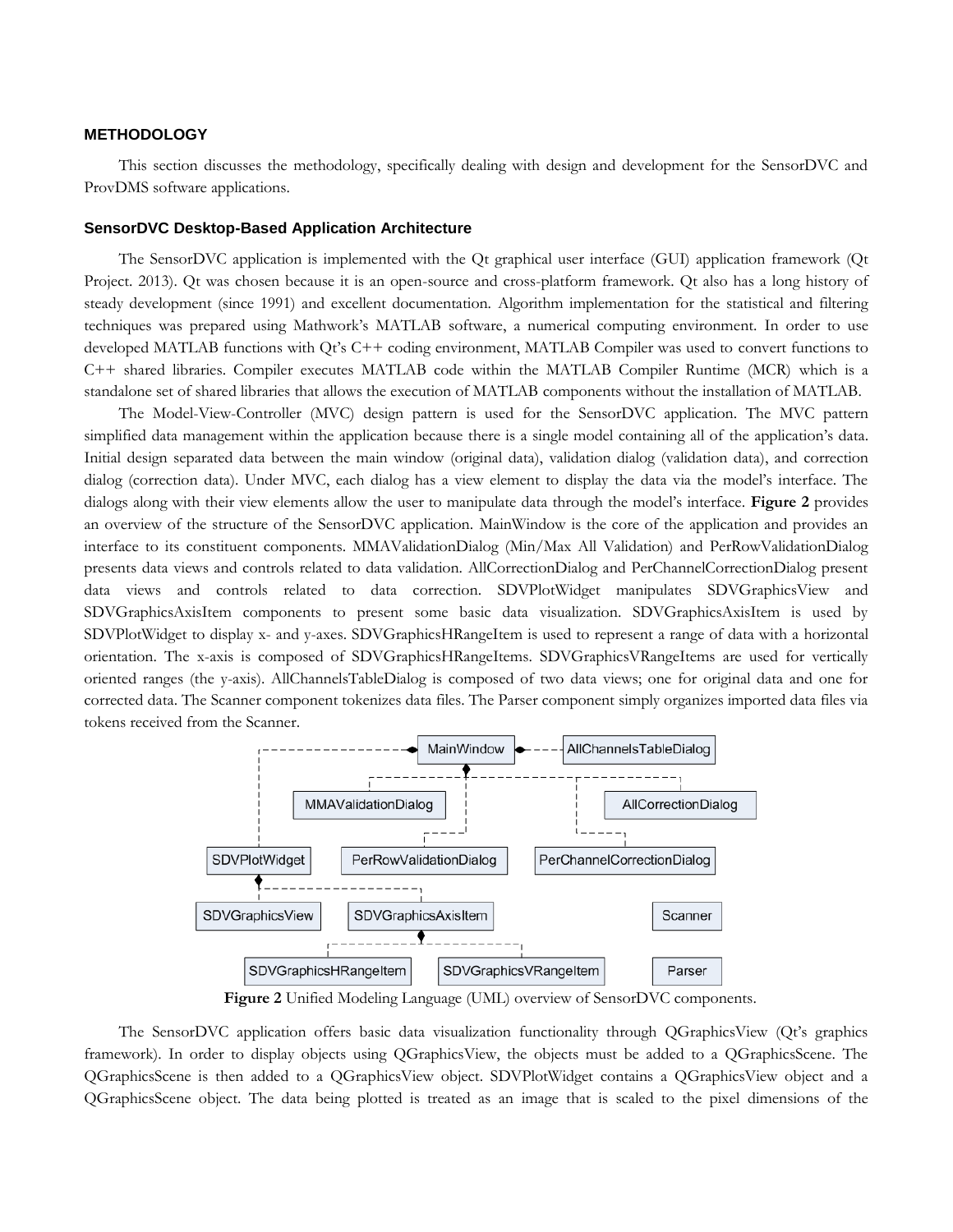#### **METHODOLOGY**

This section discusses the methodology, specifically dealing with design and development for the SensorDVC and ProvDMS software applications.

#### **SensorDVC Desktop-Based Application Architecture**

The SensorDVC application is implemented with the Qt graphical user interface (GUI) application framework (Qt Project. 2013). Qt was chosen because it is an open-source and cross-platform framework. Qt also has a long history of steady development (since 1991) and excellent documentation. Algorithm implementation for the statistical and filtering techniques was prepared using Mathwork's MATLAB software, a numerical computing environment. In order to use developed MATLAB functions with Qt's C++ coding environment, MATLAB Compiler was used to convert functions to C++ shared libraries. Compiler executes MATLAB code within the MATLAB Compiler Runtime (MCR) which is a standalone set of shared libraries that allows the execution of MATLAB components without the installation of MATLAB.

The Model-View-Controller (MVC) design pattern is used for the SensorDVC application. The MVC pattern simplified data management within the application because there is a single model containing all of the application's data. Initial design separated data between the main window (original data), validation dialog (validation data), and correction dialog (correction data). Under MVC, each dialog has a view element to display the data via the model's interface. The dialogs along with their view elements allow the user to manipulate data through the model's interface. **Figure 2** provides an overview of the structure of the SensorDVC application. MainWindow is the core of the application and provides an interface to its constituent components. MMAValidationDialog (Min/Max All Validation) and PerRowValidationDialog presents data views and controls related to data validation. AllCorrectionDialog and PerChannelCorrectionDialog present data views and controls related to data correction. SDVPlotWidget manipulates SDVGraphicsView and SDVGraphicsAxisItem components to present some basic data visualization. SDVGraphicsAxisItem is used by SDVPlotWidget to display x- and y-axes. SDVGraphicsHRangeItem is used to represent a range of data with a horizontal orientation. The x-axis is composed of SDVGraphicsHRangeItems. SDVGraphicsVRangeItems are used for vertically oriented ranges (the y-axis). AllChannelsTableDialog is composed of two data views; one for original data and one for corrected data. The Scanner component tokenizes data files. The Parser component simply organizes imported data files via tokens received from the Scanner.



**Figure 2** Unified Modeling Language (UML) overview of SensorDVC components.

The SensorDVC application offers basic data visualization functionality through QGraphicsView (Qt's graphics framework). In order to display objects using QGraphicsView, the objects must be added to a QGraphicsScene. The QGraphicsScene is then added to a QGraphicsView object. SDVPlotWidget contains a QGraphicsView object and a QGraphicsScene object. The data being plotted is treated as an image that is scaled to the pixel dimensions of the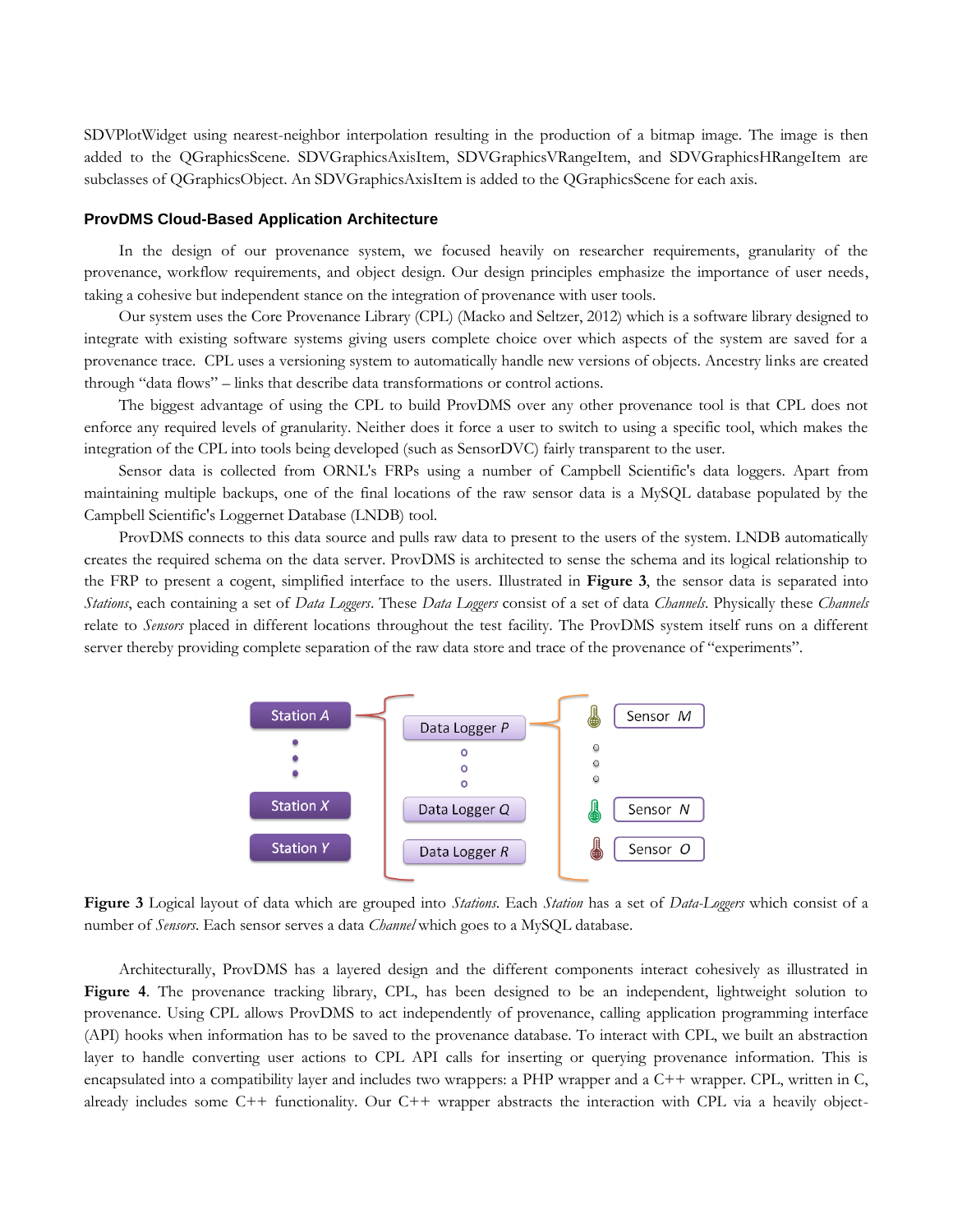SDVPlotWidget using nearest-neighbor interpolation resulting in the production of a bitmap image. The image is then added to the QGraphicsScene. SDVGraphicsAxisItem, SDVGraphicsVRangeItem, and SDVGraphicsHRangeItem are subclasses of QGraphicsObject. An SDVGraphicsAxisItem is added to the QGraphicsScene for each axis.

#### **ProvDMS Cloud-Based Application Architecture**

In the design of our provenance system, we focused heavily on researcher requirements, granularity of the provenance, workflow requirements, and object design. Our design principles emphasize the importance of user needs, taking a cohesive but independent stance on the integration of provenance with user tools.

Our system uses the Core Provenance Library (CPL) (Macko and Seltzer, 2012) which is a software library designed to integrate with existing software systems giving users complete choice over which aspects of the system are saved for a provenance trace. CPL uses a versioning system to automatically handle new versions of objects. Ancestry links are created through "data flows" – links that describe data transformations or control actions.

The biggest advantage of using the CPL to build ProvDMS over any other provenance tool is that CPL does not enforce any required levels of granularity. Neither does it force a user to switch to using a specific tool, which makes the integration of the CPL into tools being developed (such as SensorDVC) fairly transparent to the user.

Sensor data is collected from ORNL's FRPs using a number of Campbell Scientific's data loggers. Apart from maintaining multiple backups, one of the final locations of the raw sensor data is a MySQL database populated by the Campbell Scientific's Loggernet Database (LNDB) tool.

ProvDMS connects to this data source and pulls raw data to present to the users of the system. LNDB automatically creates the required schema on the data server. ProvDMS is architected to sense the schema and its logical relationship to the FRP to present a cogent, simplified interface to the users. Illustrated in **[Figure 3](#page-7-0)**, the sensor data is separated into *Stations*, each containing a set of *Data Loggers*. These *Data Loggers* consist of a set of data *Channels*. Physically these *Channels* relate to *Sensors* placed in different locations throughout the test facility. The ProvDMS system itself runs on a different server thereby providing complete separation of the raw data store and trace of the provenance of "experiments".



<span id="page-7-0"></span>**Figure 3** Logical layout of data which are grouped into *Stations*. Each *Station* has a set of *Data-Loggers* which consist of a number of *Sensors*. Each sensor serves a data *Channel* which goes to a MySQL database.

Architecturally, ProvDMS has a layered design and the different components interact cohesively as illustrated in **[Figure 4](#page-8-0)**. The provenance tracking library, CPL, has been designed to be an independent, lightweight solution to provenance. Using CPL allows ProvDMS to act independently of provenance, calling application programming interface (API) hooks when information has to be saved to the provenance database. To interact with CPL, we built an abstraction layer to handle converting user actions to CPL API calls for inserting or querying provenance information. This is encapsulated into a compatibility layer and includes two wrappers: a PHP wrapper and a C++ wrapper. CPL, written in C, already includes some C++ functionality. Our C++ wrapper abstracts the interaction with CPL via a heavily object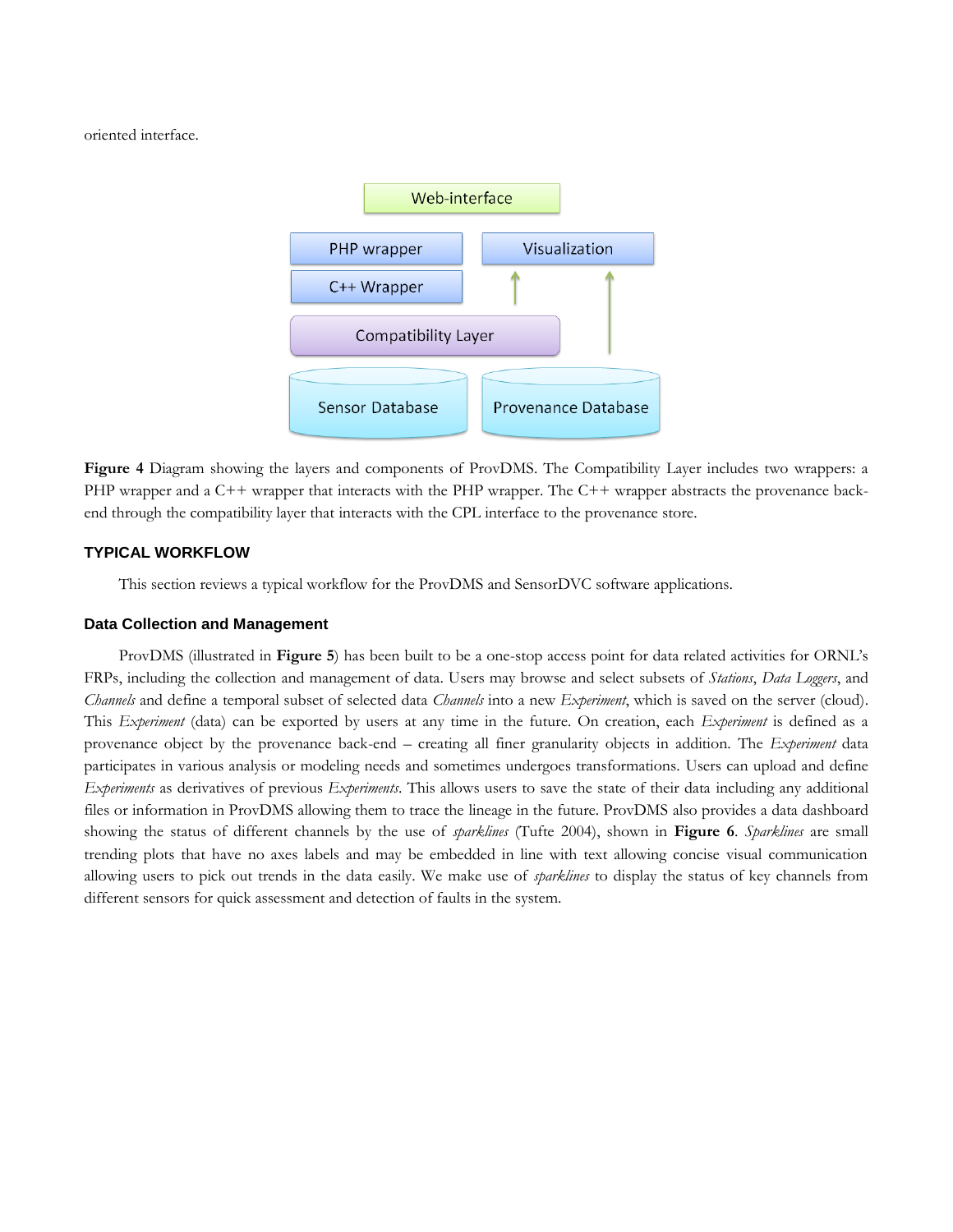oriented interface.



<span id="page-8-0"></span>**Figure 4** Diagram showing the layers and components of ProvDMS. The Compatibility Layer includes two wrappers: a PHP wrapper and a C++ wrapper that interacts with the PHP wrapper. The C++ wrapper abstracts the provenance backend through the compatibility layer that interacts with the CPL interface to the provenance store.

## **TYPICAL WORKFLOW**

This section reviews a typical workflow for the ProvDMS and SensorDVC software applications.

## **Data Collection and Management**

ProvDMS (illustrated in **[Figure 5](#page-9-0)**) has been built to be a one-stop access point for data related activities for ORNL's FRPs, including the collection and management of data. Users may browse and select subsets of *Stations*, *Data Loggers*, and *Channels* and define a temporal subset of selected data *Channels* into a new *Experiment*, which is saved on the server (cloud). This *Experiment* (data) can be exported by users at any time in the future. On creation, each *Experiment* is defined as a provenance object by the provenance back-end – creating all finer granularity objects in addition. The *Experiment* data participates in various analysis or modeling needs and sometimes undergoes transformations. Users can upload and define *Experiments* as derivatives of previous *Experiments*. This allows users to save the state of their data including any additional files or information in ProvDMS allowing them to trace the lineage in the future. ProvDMS also provides a data dashboard showing the status of different channels by the use of *sparklines* (Tufte 2004), shown in **[Figure 6](#page-9-1)**. *Sparklines* are small trending plots that have no axes labels and may be embedded in line with text allowing concise visual communication allowing users to pick out trends in the data easily. We make use of *sparklines* to display the status of key channels from different sensors for quick assessment and detection of faults in the system.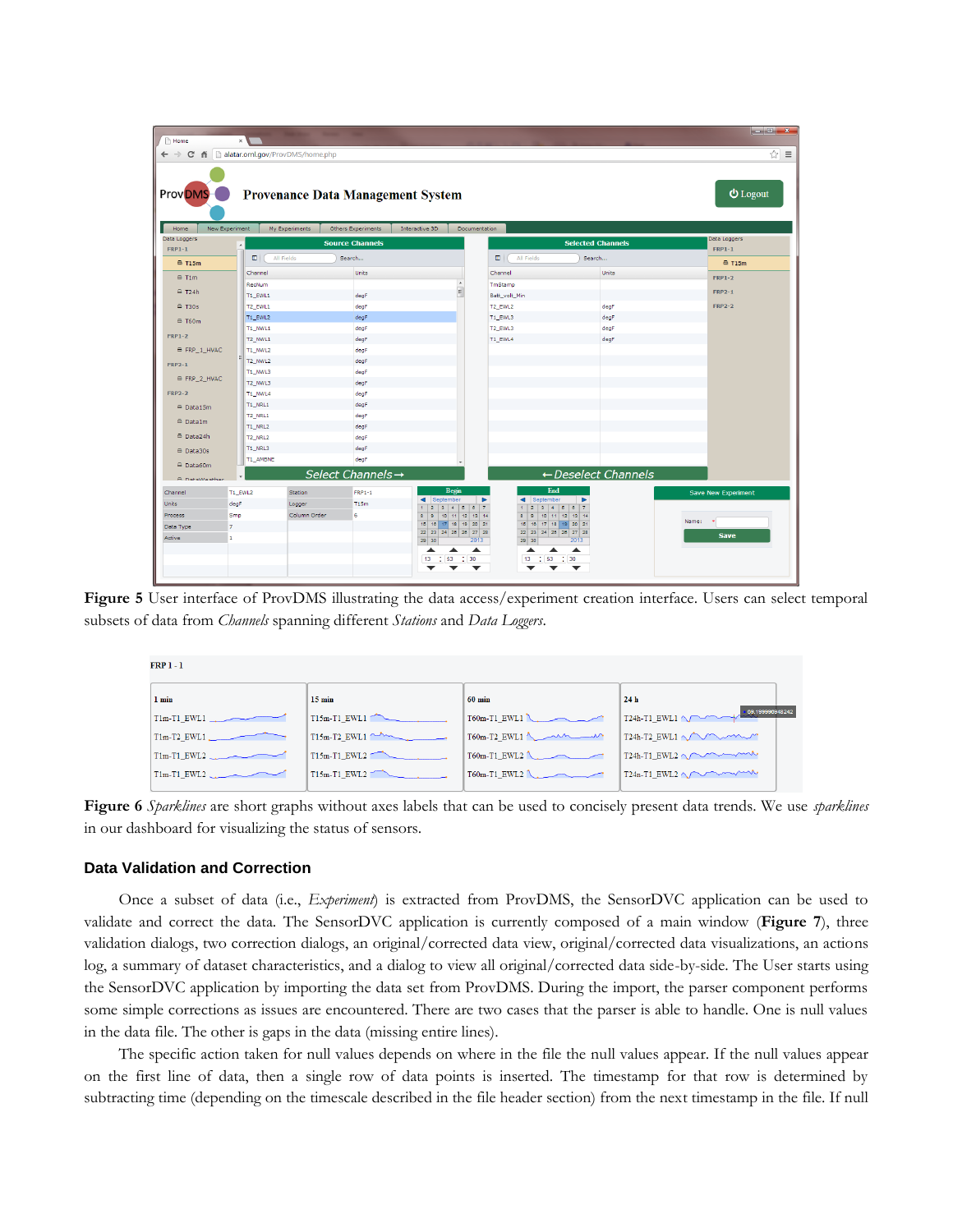| Prov <sub>DMS</sub> -   |                    |                | <b>Provenance Data Management System</b>     |                                                             |                                                    |                                      | <b>U</b> Logout            |
|-------------------------|--------------------|----------------|----------------------------------------------|-------------------------------------------------------------|----------------------------------------------------|--------------------------------------|----------------------------|
| Home<br>Data Loggers    | New Experiment     | My Experiments | Others Experiments<br><b>Source Channels</b> | Interactive 3D                                              | Documentation                                      | <b>Selected Channels</b>             | Data Loggers               |
| $FRP1-1$                | $\blacktriangle$   |                |                                              |                                                             |                                                    |                                      | $FRP1-1$                   |
| AT15m                   | $\blacksquare$     | All Fields     | Search                                       |                                                             | ш<br>All Fields                                    | Search                               | A T15m                     |
| $\triangle$ T1m         | Channel            |                | <b>Units</b>                                 |                                                             | Channel                                            | <b>Units</b>                         | <b>FRP1-2</b>              |
| $=$ T <sub>24</sub> h   | RecNum             |                |                                              | E                                                           | TmStamp                                            |                                      | <b>FRP2-1</b>              |
|                         | T1_EWL1            |                | degF                                         |                                                             | Batt_volt_Min                                      |                                      |                            |
| $-$ T30s                | T2_EWL1            |                | degF                                         |                                                             | T2_EWL2                                            | degF                                 | <b>FRP2-2</b>              |
| $\triangle$ T60m        | T1_EWL2            |                | deaF                                         |                                                             | T1_EWL3                                            | degF                                 |                            |
| <b>FRP1-2</b>           | T1_NWL1            |                | degF                                         |                                                             | T2_EWL3                                            | deqF                                 |                            |
|                         | T2_NWL1            |                | degF                                         |                                                             | T1_EWL4                                            | degF                                 |                            |
| <sup>■</sup> FRP_1_HVAC | T1_NWL2            |                | degF                                         |                                                             |                                                    |                                      |                            |
| <b>FRP2-1</b>           | T2_NWL2            |                | degF                                         |                                                             |                                                    |                                      |                            |
| <sup>∈</sup> FRP_2_HVAC | T1_NWL3<br>T2_NWL3 |                | degF<br>degF                                 |                                                             |                                                    |                                      |                            |
| <b>FRP2-2</b>           | T1_NWL4            |                | degF                                         |                                                             |                                                    |                                      |                            |
|                         | T1_NRL1            |                | degF                                         |                                                             |                                                    |                                      |                            |
| $\triangle$ Data15m     | T2_NRL1            |                | degF                                         |                                                             |                                                    |                                      |                            |
| <sup>∈</sup> Data1m     | <b>T1_NRL2</b>     |                | degF                                         |                                                             |                                                    |                                      |                            |
| <sup>△</sup> Data24h    | T2_NRL2            |                | degF                                         |                                                             |                                                    |                                      |                            |
| <sup>△</sup> Data30s    | T1_NRL3            |                | degF                                         |                                                             |                                                    |                                      |                            |
|                         | T1_AMBNE           |                | degF                                         |                                                             |                                                    |                                      |                            |
| $\triangle$ Data60m     |                    |                | Select Channels→                             |                                                             |                                                    | $\leftarrow$ Deselect Channels       |                            |
| A DataWeather           |                    |                |                                              |                                                             |                                                    |                                      |                            |
| Channel                 | T1_EWL2            | Station        | $FRP1-1$                                     | Begin                                                       | End                                                |                                      | <b>Save New Experiment</b> |
| <b>Units</b>            | degF               | Logger         | T15m                                         | September<br>$\overline{2}$<br>$3$ 4 5 6 7                  | ◀ September<br>$\blacktriangleright$<br>$1 \mid 2$ | $\blacktriangleright$<br>$3$ 4 5 6 7 |                            |
| Process                 | Smo                | Column Order   | 6                                            | $\overline{\mathbf{8}}$<br>10 11 12 13 14<br>$\overline{8}$ | $8$ $9$                                            | 10 11 12 13 14                       |                            |
| Data Type               | 7                  |                |                                              | 15 16 17 18 19 20 21<br>22 23 24 25 26 27 28                | 15 16 17 18 19 20 21<br>22 23 24 25 26 27 28       |                                      | Name:                      |
| Active                  | f.                 |                |                                              | 29 30                                                       | 2013<br>29 30                                      | 2013                                 | <b>Save</b>                |

<span id="page-9-0"></span>**Figure 5** User interface of ProvDMS illustrating the data access/experiment creation interface. Users can select temporal subsets of data from *Channels* spanning different *Stations* and *Data Loggers*.

| <b>FRP 1 - 1</b> |                  |                  |                                  |  |
|------------------|------------------|------------------|----------------------------------|--|
| 1 min            | $15 \text{ min}$ | $60 \text{ min}$ | 24 <sub>h</sub>                  |  |
| $T1m-T1$ EWL1.   | T15m-T1 EWL1     | T60m-T1 EWL1     | T24h-T1_EWL1 ~ 4.09.199996948242 |  |
| $T1m-T2$ EWL1.   | $T15m-T2$ EWL1   | $T60m-T2$ EWL1   | T24h-T2 EWL1                     |  |
| T1m-T1 EWL2      | T15m-T1_EWL2     | T60m-T1_EWL2     | T24h-T1_EWL2                     |  |
| T1m-T1 EWL2      | $T15m-T1$ EWL2   | $T60m-T1$ EWL2   | $T24n-T1$ EWL2                   |  |
|                  |                  |                  |                                  |  |

<span id="page-9-1"></span>**Figure 6** *Sparklines* are short graphs without axes labels that can be used to concisely present data trends. We use *sparklines* in our dashboard for visualizing the status of sensors.

## **Data Validation and Correction**

Once a subset of data (i.e., *Experiment*) is extracted from ProvDMS, the SensorDVC application can be used to validate and correct the data. The SensorDVC application is currently composed of a main window (**[Figure 7](#page-11-0)**), three validation dialogs, two correction dialogs, an original/corrected data view, original/corrected data visualizations, an actions log, a summary of dataset characteristics, and a dialog to view all original/corrected data side-by-side. The User starts using the SensorDVC application by importing the data set from ProvDMS. During the import, the parser component performs some simple corrections as issues are encountered. There are two cases that the parser is able to handle. One is null values in the data file. The other is gaps in the data (missing entire lines).

The specific action taken for null values depends on where in the file the null values appear. If the null values appear on the first line of data, then a single row of data points is inserted. The timestamp for that row is determined by subtracting time (depending on the timescale described in the file header section) from the next timestamp in the file. If null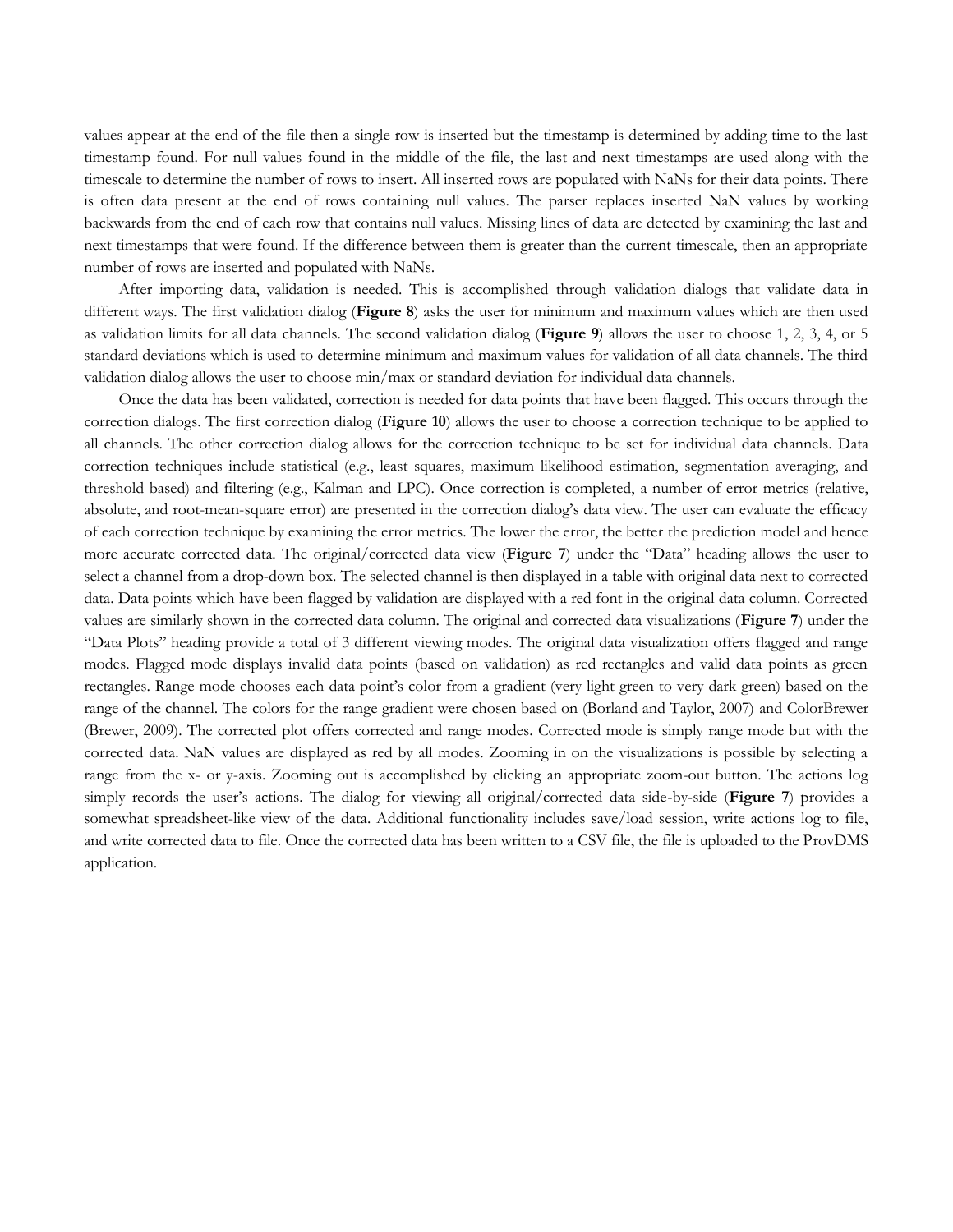values appear at the end of the file then a single row is inserted but the timestamp is determined by adding time to the last timestamp found. For null values found in the middle of the file, the last and next timestamps are used along with the timescale to determine the number of rows to insert. All inserted rows are populated with NaNs for their data points. There is often data present at the end of rows containing null values. The parser replaces inserted NaN values by working backwards from the end of each row that contains null values. Missing lines of data are detected by examining the last and next timestamps that were found. If the difference between them is greater than the current timescale, then an appropriate number of rows are inserted and populated with NaNs.

After importing data, validation is needed. This is accomplished through validation dialogs that validate data in different ways. The first validation dialog (**[Figure 8](#page-12-0)**) asks the user for minimum and maximum values which are then used as validation limits for all data channels. The second validation dialog (**[Figure 9](#page-12-1)**) allows the user to choose 1, 2, 3, 4, or 5 standard deviations which is used to determine minimum and maximum values for validation of all data channels. The third validation dialog allows the user to choose min/max or standard deviation for individual data channels.

Once the data has been validated, correction is needed for data points that have been flagged. This occurs through the correction dialogs. The first correction dialog (**[Figure 10](#page-13-0)**) allows the user to choose a correction technique to be applied to all channels. The other correction dialog allows for the correction technique to be set for individual data channels. Data correction techniques include statistical (e.g., least squares, maximum likelihood estimation, segmentation averaging, and threshold based) and filtering (e.g., Kalman and LPC). Once correction is completed, a number of error metrics (relative, absolute, and root-mean-square error) are presented in the correction dialog's data view. The user can evaluate the efficacy of each correction technique by examining the error metrics. The lower the error, the better the prediction model and hence more accurate corrected data. The original/corrected data view (**[Figure 7](#page-11-0)**) under the "Data" heading allows the user to select a channel from a drop-down box. The selected channel is then displayed in a table with original data next to corrected data. Data points which have been flagged by validation are displayed with a red font in the original data column. Corrected values are similarly shown in the corrected data column. The original and corrected data visualizations (**[Figure 7](#page-11-0)**) under the "Data Plots" heading provide a total of 3 different viewing modes. The original data visualization offers flagged and range modes. Flagged mode displays invalid data points (based on validation) as red rectangles and valid data points as green rectangles. Range mode chooses each data point's color from a gradient (very light green to very dark green) based on the range of the channel. The colors for the range gradient were chosen based on (Borland and Taylor, 2007) and ColorBrewer (Brewer, 2009). The corrected plot offers corrected and range modes. Corrected mode is simply range mode but with the corrected data. NaN values are displayed as red by all modes. Zooming in on the visualizations is possible by selecting a range from the x- or y-axis. Zooming out is accomplished by clicking an appropriate zoom-out button. The actions log simply records the user's actions. The dialog for viewing all original/corrected data side-by-side (**[Figure 7](#page-11-0)**) provides a somewhat spreadsheet-like view of the data. Additional functionality includes save/load session, write actions log to file, and write corrected data to file. Once the corrected data has been written to a CSV file, the file is uploaded to the ProvDMS application.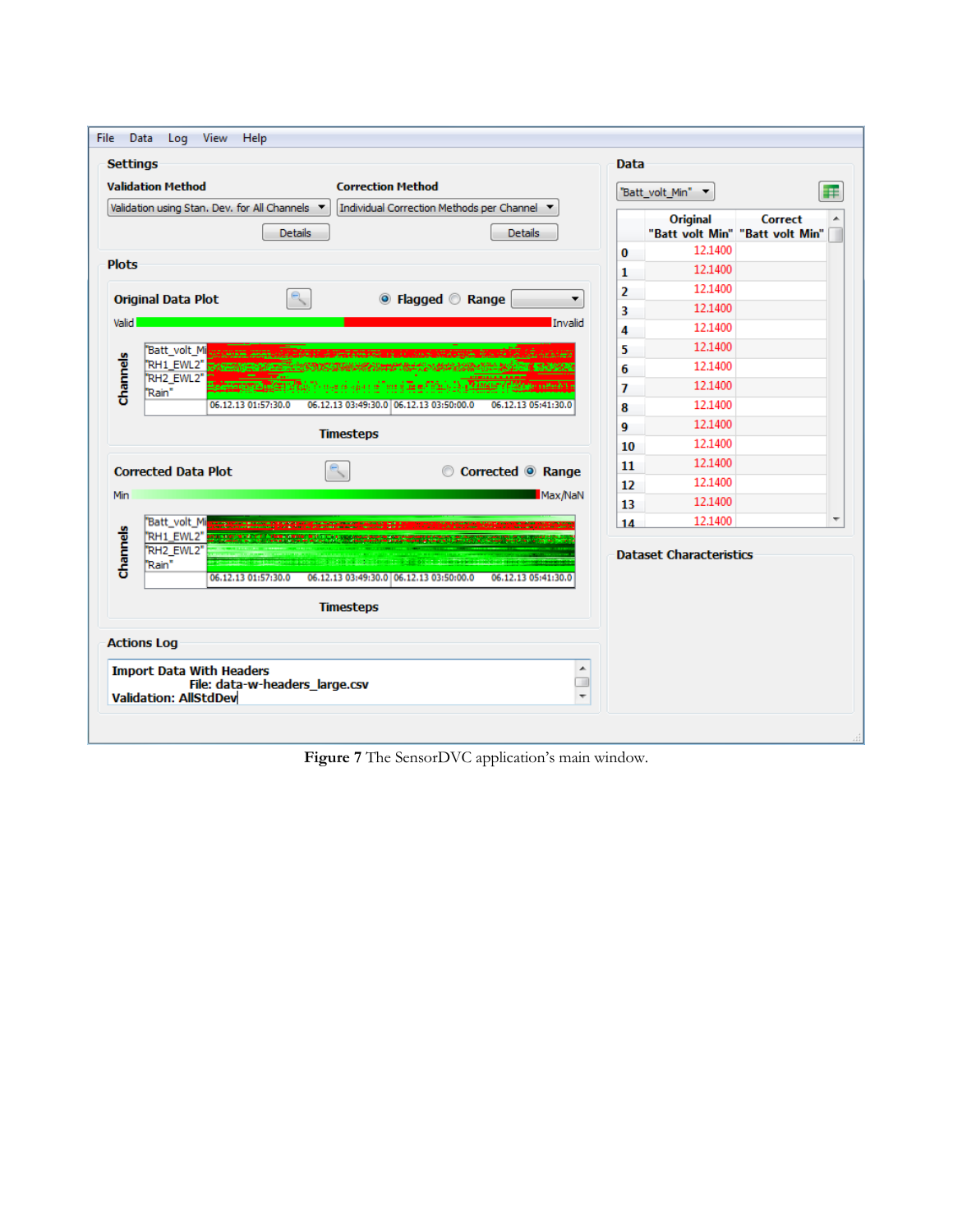| <b>Settings</b> |                                                                 |                                                 |                  |                                                                                                                                                                                                                                      |                   |                     |         | <b>Data</b> |                                                    |         |   |
|-----------------|-----------------------------------------------------------------|-------------------------------------------------|------------------|--------------------------------------------------------------------------------------------------------------------------------------------------------------------------------------------------------------------------------------|-------------------|---------------------|---------|-------------|----------------------------------------------------|---------|---|
|                 | <b>Validation Method</b>                                        |                                                 |                  | <b>Correction Method</b>                                                                                                                                                                                                             |                   |                     |         |             | "Batt_volt_Min" \                                  |         | œ |
|                 |                                                                 | Validation using Stan. Dev. for All Channels \> | <b>Details</b>   | Individual Correction Methods per Channel ▼                                                                                                                                                                                          |                   | <b>Details</b>      |         |             | <b>Original</b><br>"Batt volt Min" "Batt volt Min" | Correct |   |
|                 |                                                                 |                                                 |                  |                                                                                                                                                                                                                                      |                   |                     |         | 0           | 12.1400                                            |         |   |
| <b>Plots</b>    |                                                                 |                                                 |                  |                                                                                                                                                                                                                                      |                   |                     |         | 1           | 12.1400                                            |         |   |
|                 | <b>Original Data Plot</b>                                       |                                                 |                  |                                                                                                                                                                                                                                      | ◎ Flagged ◎ Range |                     |         | 2           | 12.1400                                            |         |   |
|                 |                                                                 |                                                 |                  |                                                                                                                                                                                                                                      |                   |                     |         | 3           | 12.1400                                            |         |   |
| Valid           |                                                                 |                                                 |                  |                                                                                                                                                                                                                                      |                   |                     | Invalid | 4           | 12.1400                                            |         |   |
|                 | "Batt_volt_Mi                                                   |                                                 |                  |                                                                                                                                                                                                                                      |                   |                     |         | 5           | 12.1400                                            |         |   |
|                 | RH1 EWL2" SEARING<br>"RH2 EWL2"                                 |                                                 |                  |                                                                                                                                                                                                                                      |                   |                     |         | 6           | 12.1400                                            |         |   |
| Channels        | "Rain"                                                          |                                                 |                  | <b>The College of the college of the college of the College of the College of the College of the College of the Col</b>                                                                                                              |                   |                     |         | 7           | 12.1400                                            |         |   |
|                 |                                                                 | 06.12.13 01:57:30.0                             |                  | 06.12.13 03:49:30.0 06.12.13 03:50:00.0                                                                                                                                                                                              |                   | 06.12.13 05:41:30.0 |         | 8           | 12.1400                                            |         |   |
|                 |                                                                 |                                                 | <b>Timesteps</b> |                                                                                                                                                                                                                                      |                   |                     |         | 9           | 12.1400                                            |         |   |
|                 |                                                                 |                                                 |                  |                                                                                                                                                                                                                                      |                   |                     |         | 10          | 12.1400                                            |         |   |
|                 | <b>Corrected Data Plot</b>                                      |                                                 |                  |                                                                                                                                                                                                                                      |                   | Corrected © Range   |         | 11          | 12.1400                                            |         |   |
|                 |                                                                 |                                                 |                  |                                                                                                                                                                                                                                      |                   |                     |         | 12          | 12.1400                                            |         |   |
| Min             |                                                                 |                                                 |                  |                                                                                                                                                                                                                                      |                   |                     | Max/NaN | 13          | 12.1400                                            |         |   |
| Channels        | Batt_volt_Mi<br>"RH2 EWL2"<br>"Rain"                            |                                                 |                  | RH1_EWL2" <b>EXPLORATION TO ANNOUNCE PROPERTY OF A REPORT OF A REPORT OF A REPORT OF A REPORT OF A REPORT OF A REPORT OF A REPORT OF A REPORT OF A REPORT OF A REPORT OF A REPORT OF A REPORT OF A REPORT OF A REPORT OF A REPOR</b> |                   |                     |         | 14          | 12.1400<br><b>Dataset Characteristics</b>          |         |   |
|                 |                                                                 | 06.12.13 01:57:30.0                             |                  | 06.12.13 03:49:30.0 06.12.13 03:50:00.0                                                                                                                                                                                              |                   | 06.12.13 05:41:30.0 |         |             |                                                    |         |   |
|                 |                                                                 |                                                 | <b>Timesteps</b> |                                                                                                                                                                                                                                      |                   |                     |         |             |                                                    |         |   |
|                 | <b>Actions Log</b>                                              |                                                 |                  |                                                                                                                                                                                                                                      |                   |                     |         |             |                                                    |         |   |
|                 | <b>Import Data With Headers</b><br><b>Validation: AllStdDev</b> | File: data-w-headers_large.csv                  |                  |                                                                                                                                                                                                                                      |                   |                     |         |             |                                                    |         |   |

<span id="page-11-0"></span>**Figure 7** The SensorDVC application's main window.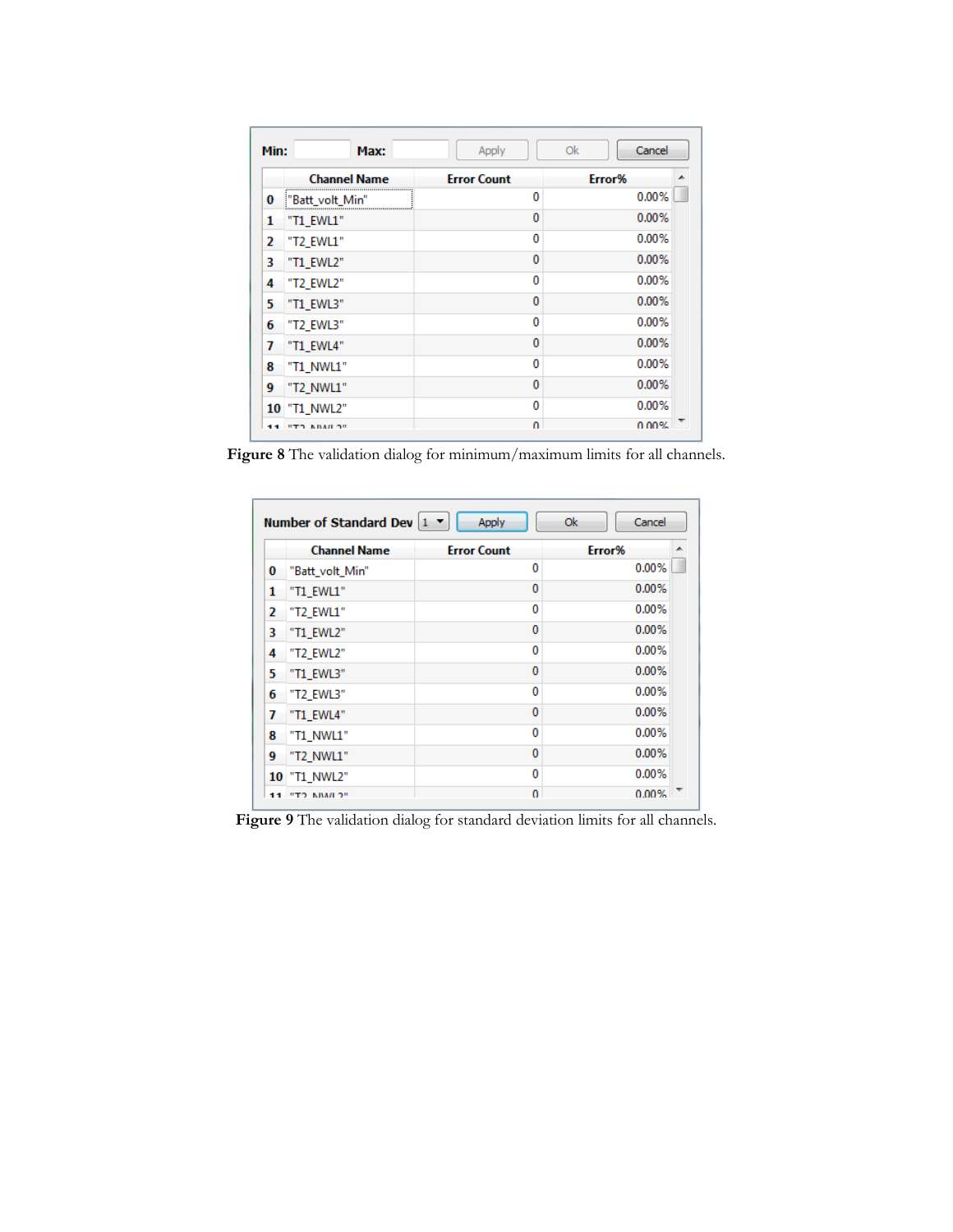| Min: | Max:                              | Apply              | Cancel<br>Ok |
|------|-----------------------------------|--------------------|--------------|
|      | <b>Channel Name</b>               | <b>Error Count</b> | Error%       |
| 0    | "Batt_volt_Min"                   | 0                  | 0.00%        |
| 1    | "T1 EWL1"                         | 0                  | 0.00%        |
| 2    | "T2_EWL1"                         | 0                  | 0.00%        |
| 3    | "T1 EWL2"                         | 0                  | 0.00%        |
| 4    | "T2 EWL2"                         | 0                  | 0.00%        |
| 5    | "T1_EWL3"                         | 0                  | 0.00%        |
| 6    | "T2 EWL3"                         | 0                  | 0.00%        |
| 7    | "T1 EWL4"                         | 0                  | 0.00%        |
| 8    | "T1 NWL1"                         | 0                  | 0.00%        |
| 9    | "T2_NWL1"                         | 0                  | 0.00%        |
|      | <b>10 "T1 NWL2"</b>               | 0                  | 0.00%        |
|      | <b><i><u>ITO KIMILOIL</u></i></b> | $\Omega$           | 0.00%        |

<span id="page-12-0"></span>**Figure 8** The validation dialog for minimum/maximum limits for all channels.

|    | <b>Channel Name</b> | <b>Error Count</b> | Error% |
|----|---------------------|--------------------|--------|
| 0  | "Batt_volt_Min"     | 0                  | 0.00%  |
| 1  | "T1_EWL1"           | $\bf{0}$           | 0.00%  |
| 2  | "T2 EWL1"           | 0                  | 0.00%  |
| 3  | "T1 EWL2"           | 0                  | 0.00%  |
| 4  | "T2 EWL2"           | 0                  | 0.00%  |
| 5  | "T1 EWL3"           | 0                  | 0.00%  |
| 6  | "T2 EWL3"           | 0                  | 0.00%  |
| 7  | "T1 EWL4"           | 0                  | 0.00%  |
| 8  | "T1 NWL1"           | 0                  | 0.00%  |
| 9  | "T2_NWL1"           | 0                  | 0.00%  |
| 10 | "T1 NWL2"           | 0                  | 0.00%  |
| 11 | "TO INIMI O"        | 0                  | 0.00%  |

<span id="page-12-1"></span>Figure 9 The validation dialog for standard deviation limits for all channels.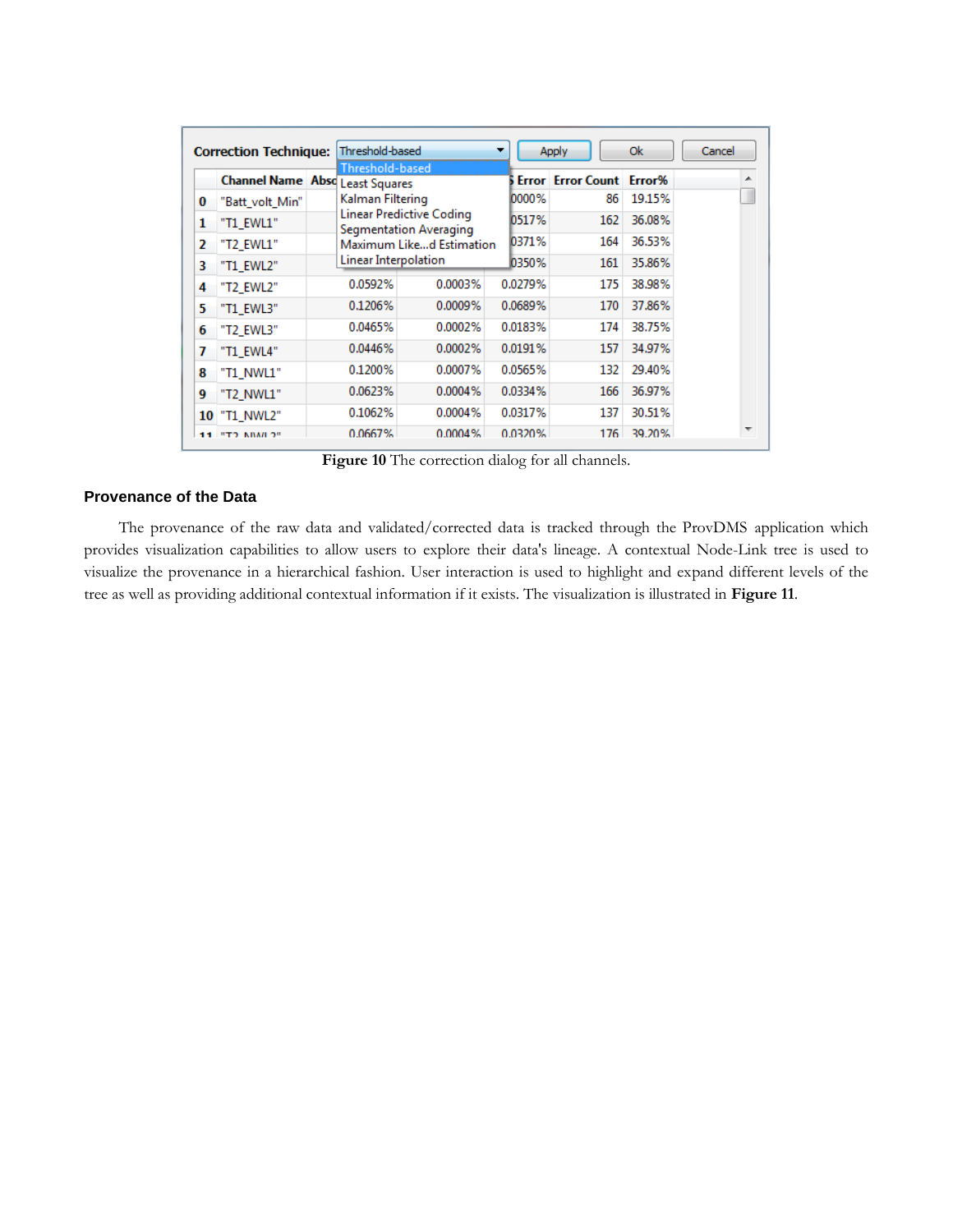|    | <b>Correction Technique:</b>           | Threshold-based      |                                                    |         | <b>Apply</b>                    | Ok     | Cancel |
|----|----------------------------------------|----------------------|----------------------------------------------------|---------|---------------------------------|--------|--------|
|    | <b>Channel Name Abso Least Squares</b> | Threshold-based      |                                                    |         | <b>Error Error Count Error%</b> |        | ▴      |
| 0  | "Batt volt Min"                        | Kalman Filtering     |                                                    | 0000%   | 86                              | 19.15% |        |
| 1  | "T1_EWL1"                              |                      | Linear Predictive Coding<br>Segmentation Averaging | 0517%   | 162                             | 36.08% |        |
| 2  | "T2 EWL1"                              |                      | Maximum Liked Estimation                           | 0371%   | 164                             | 36.53% |        |
| 3  | "T1 EWL2"                              | Linear Interpolation |                                                    | 0350%   | 161                             | 35.86% |        |
| 4  | "T2 EWL2"                              | 0.0592%              | 0.0003%                                            | 0.0279% | 175                             | 38.98% |        |
| 5  | "T1 EWL3"                              | 0.1206%              | 0.0009%                                            | 0.0689% | 170                             | 37.86% |        |
| 6  | "T2 EWL3"                              | 0.0465%              | 0.0002%                                            | 0.0183% | 174                             | 38.75% |        |
| 7  | "T1 EWL4"                              | 0.0446%              | 0.0002%                                            | 0.0191% | 157                             | 34.97% |        |
| 8  | "T1 NWL1"                              | 0.1200%              | 0.0007%                                            | 0.0565% | 132                             | 29.40% |        |
| 9  | "T2 NWL1"                              | 0.0623%              | 0.0004%                                            | 0.0334% | 166                             | 36.97% |        |
| 10 | "T1 NWL2"                              | 0.1062%              | 0.0004%                                            | 0.0317% | 137                             | 30.51% |        |
| 11 | <b>"TO ABAILO"</b>                     | 0.0667%              | 0.0004%                                            | 0.0320% | 176                             | 39.20% |        |

**Figure 10** The correction dialog for all channels.

# <span id="page-13-0"></span>**Provenance of the Data**

The provenance of the raw data and validated/corrected data is tracked through the ProvDMS application which provides visualization capabilities to allow users to explore their data's lineage. A contextual Node-Link tree is used to visualize the provenance in a hierarchical fashion. User interaction is used to highlight and expand different levels of the tree as well as providing additional contextual information if it exists. The visualization is illustrated in **[Figure 11](#page-14-0)**.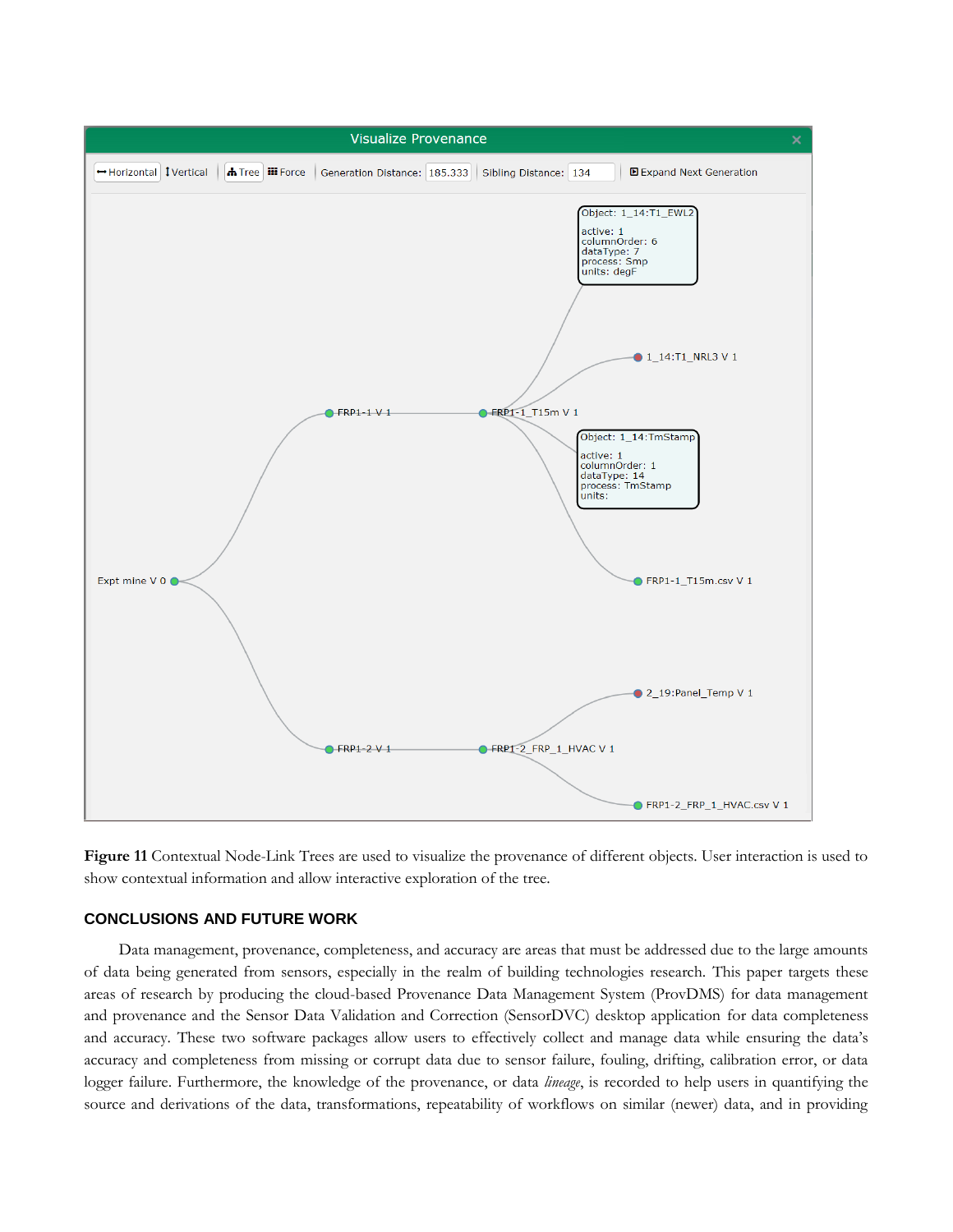

<span id="page-14-0"></span>**Figure 11** Contextual Node-Link Trees are used to visualize the provenance of different objects. User interaction is used to show contextual information and allow interactive exploration of the tree.

## **CONCLUSIONS AND FUTURE WORK**

Data management, provenance, completeness, and accuracy are areas that must be addressed due to the large amounts of data being generated from sensors, especially in the realm of building technologies research. This paper targets these areas of research by producing the cloud-based Provenance Data Management System (ProvDMS) for data management and provenance and the Sensor Data Validation and Correction (SensorDVC) desktop application for data completeness and accuracy. These two software packages allow users to effectively collect and manage data while ensuring the data's accuracy and completeness from missing or corrupt data due to sensor failure, fouling, drifting, calibration error, or data logger failure. Furthermore, the knowledge of the provenance, or data *lineage*, is recorded to help users in quantifying the source and derivations of the data, transformations, repeatability of workflows on similar (newer) data, and in providing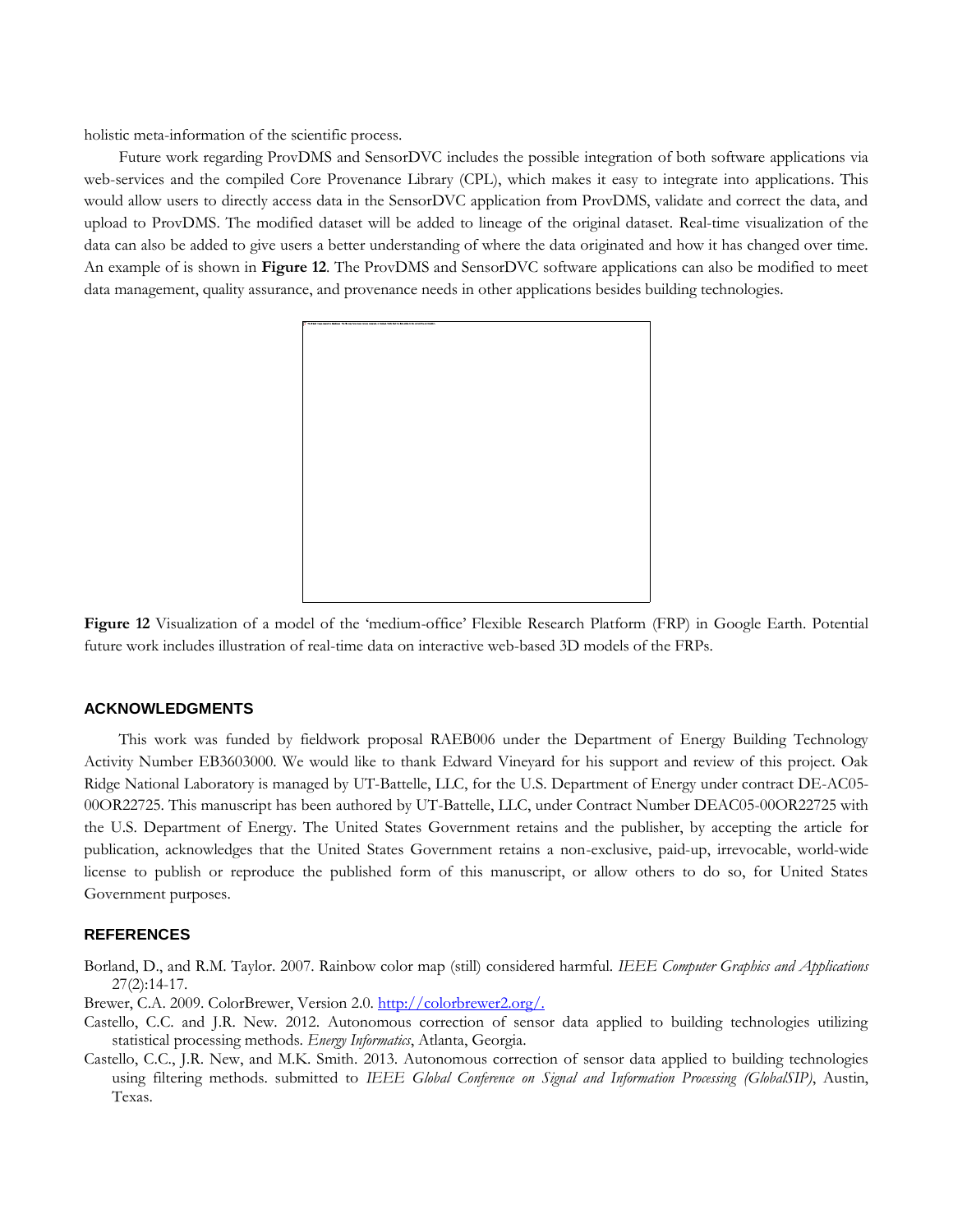holistic meta-information of the scientific process.

Future work regarding ProvDMS and SensorDVC includes the possible integration of both software applications via web-services and the compiled Core Provenance Library (CPL), which makes it easy to integrate into applications. This would allow users to directly access data in the SensorDVC application from ProvDMS, validate and correct the data, and upload to ProvDMS. The modified dataset will be added to lineage of the original dataset. Real-time visualization of the data can also be added to give users a better understanding of where the data originated and how it has changed over time. An example of is shown in **[Figure 12](#page-15-0)**. The ProvDMS and SensorDVC software applications can also be modified to meet data management, quality assurance, and provenance needs in other applications besides building technologies.



<span id="page-15-0"></span>**Figure 12** Visualization of a model of the 'medium-office' Flexible Research Platform (FRP) in Google Earth. Potential future work includes illustration of real-time data on interactive web-based 3D models of the FRPs.

## **ACKNOWLEDGMENTS**

This work was funded by fieldwork proposal RAEB006 under the Department of Energy Building Technology Activity Number EB3603000. We would like to thank Edward Vineyard for his support and review of this project. Oak Ridge National Laboratory is managed by UT-Battelle, LLC, for the U.S. Department of Energy under contract DE-AC05- 00OR22725. This manuscript has been authored by UT-Battelle, LLC, under Contract Number DEAC05-00OR22725 with the U.S. Department of Energy. The United States Government retains and the publisher, by accepting the article for publication, acknowledges that the United States Government retains a non-exclusive, paid-up, irrevocable, world-wide license to publish or reproduce the published form of this manuscript, or allow others to do so, for United States Government purposes.

#### **REFERENCES**

Borland, D., and R.M. Taylor. 2007. Rainbow color map (still) considered harmful. *IEEE Computer Graphics and Applications* 27(2):14-17.

Brewer, C.A. 2009. ColorBrewer, Version 2.0. [http://colorbrewer2.org/.](http://colorbrewer2.org/)

- Castello, C.C. and J.R. New. 2012. Autonomous correction of sensor data applied to building technologies utilizing statistical processing methods. *Energy Informatics*, Atlanta, Georgia.
- Castello, C.C., J.R. New, and M.K. Smith. 2013. Autonomous correction of sensor data applied to building technologies using filtering methods. submitted to *IEEE Global Conference on Signal and Information Processing (GlobalSIP)*, Austin, Texas.